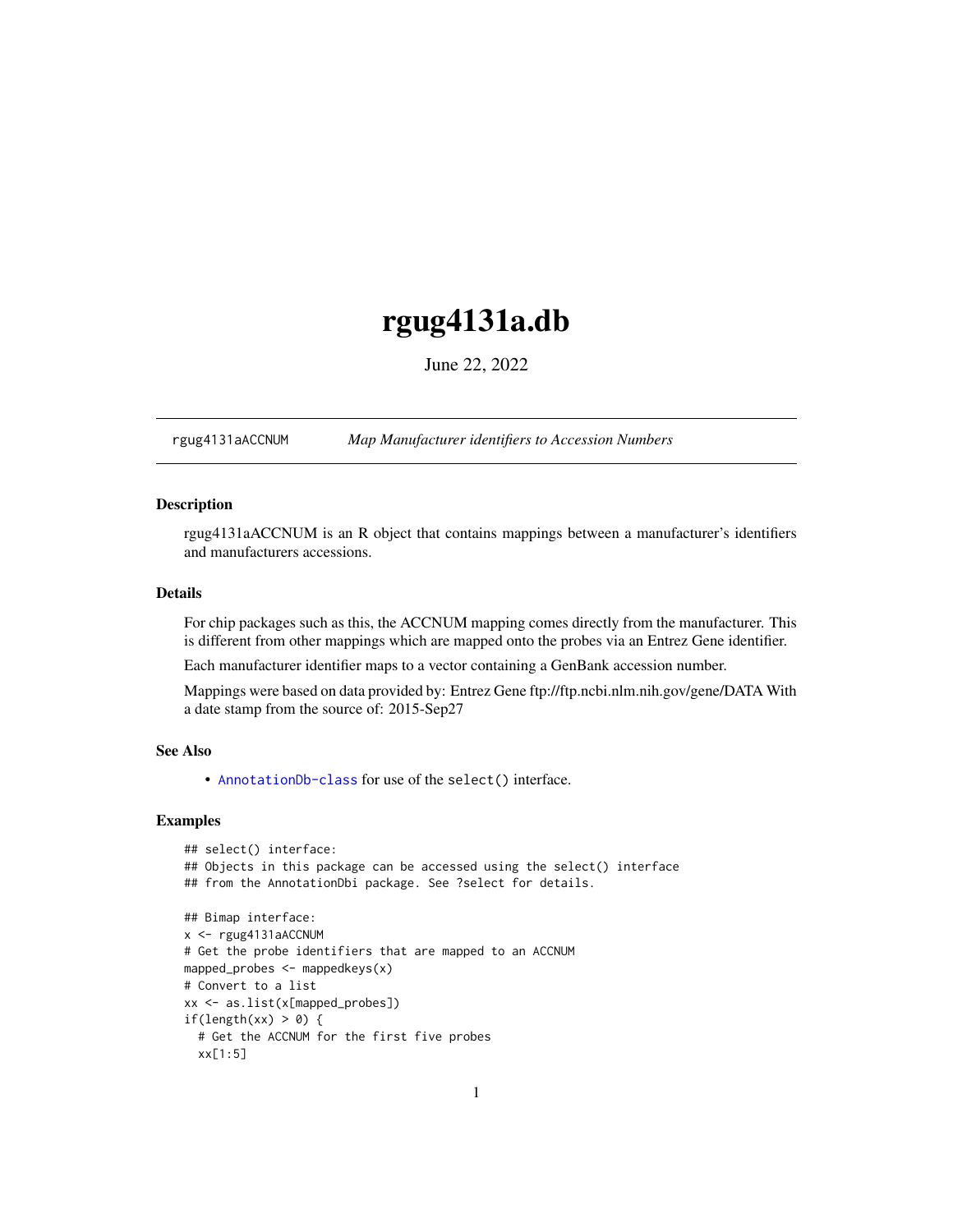## <span id="page-0-1"></span>rgug4131a.db

June 22, 2022

<span id="page-0-0"></span>rgug4131aACCNUM *Map Manufacturer identifiers to Accession Numbers*

## Description

rgug4131aACCNUM is an R object that contains mappings between a manufacturer's identifiers and manufacturers accessions.

## Details

For chip packages such as this, the ACCNUM mapping comes directly from the manufacturer. This is different from other mappings which are mapped onto the probes via an Entrez Gene identifier.

Each manufacturer identifier maps to a vector containing a GenBank accession number.

Mappings were based on data provided by: Entrez Gene ftp://ftp.ncbi.nlm.nih.gov/gene/DATA With a date stamp from the source of: 2015-Sep27

## See Also

• AnnotationDb-class for use of the select() interface.

```
## select() interface:
## Objects in this package can be accessed using the select() interface
## from the AnnotationDbi package. See ?select for details.
## Bimap interface:
x <- rgug4131aACCNUM
# Get the probe identifiers that are mapped to an ACCNUM
mapped_probes <- mappedkeys(x)
# Convert to a list
xx <- as.list(x[mapped_probes])
if(length(xx) > 0) {
 # Get the ACCNUM for the first five probes
 xx[1:5]
```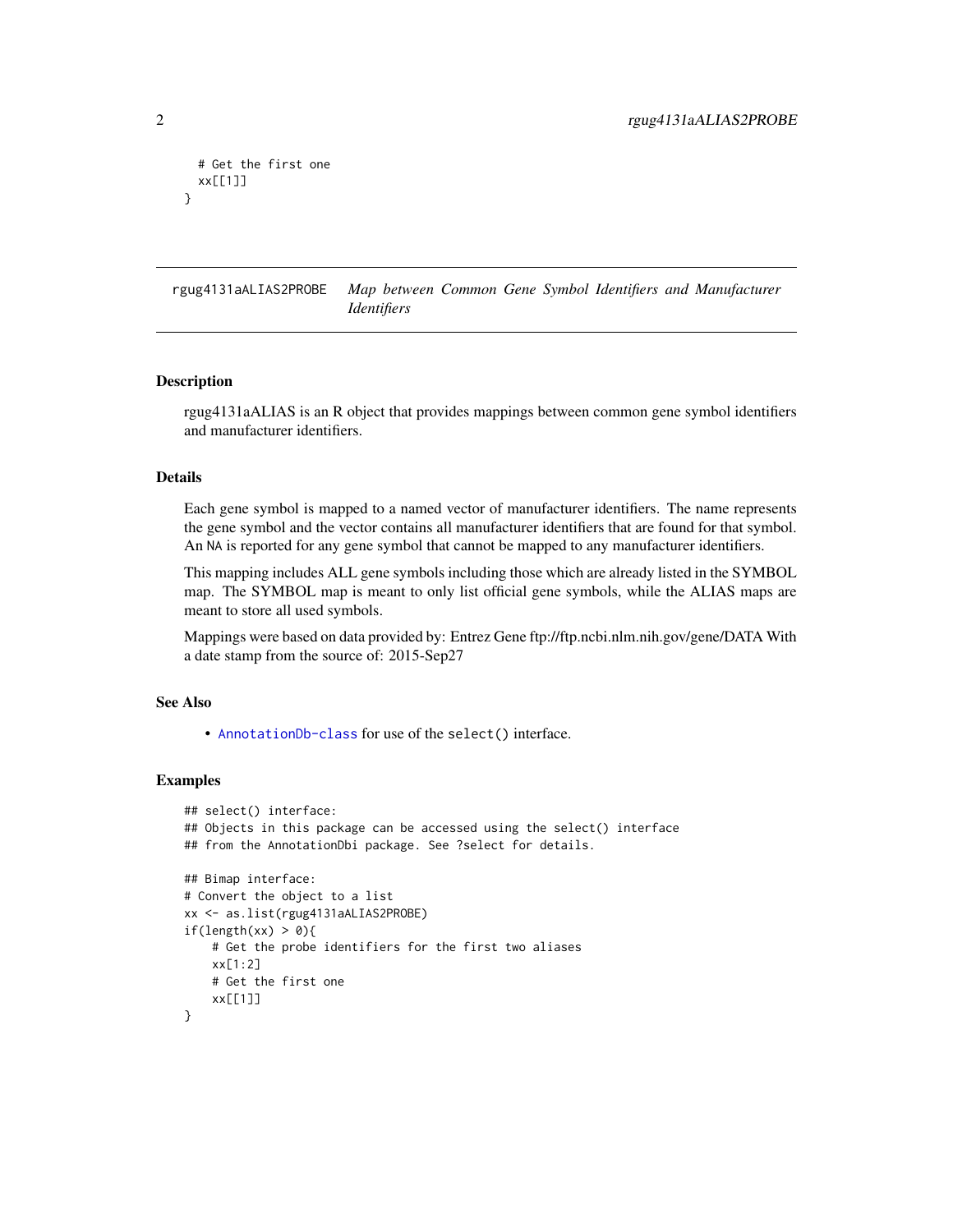```
# Get the first one
 xx[[1]]
}
```
rgug4131aALIAS2PROBE *Map between Common Gene Symbol Identifiers and Manufacturer Identifiers*

#### Description

rgug4131aALIAS is an R object that provides mappings between common gene symbol identifiers and manufacturer identifiers.

## Details

Each gene symbol is mapped to a named vector of manufacturer identifiers. The name represents the gene symbol and the vector contains all manufacturer identifiers that are found for that symbol. An NA is reported for any gene symbol that cannot be mapped to any manufacturer identifiers.

This mapping includes ALL gene symbols including those which are already listed in the SYMBOL map. The SYMBOL map is meant to only list official gene symbols, while the ALIAS maps are meant to store all used symbols.

Mappings were based on data provided by: Entrez Gene ftp://ftp.ncbi.nlm.nih.gov/gene/DATA With a date stamp from the source of: 2015-Sep27

## See Also

• [AnnotationDb-class](#page-0-0) for use of the select() interface.

```
## select() interface:
## Objects in this package can be accessed using the select() interface
## from the AnnotationDbi package. See ?select for details.
## Bimap interface:
# Convert the object to a list
xx <- as.list(rgug4131aALIAS2PROBE)
if(length(xx) > 0){
    # Get the probe identifiers for the first two aliases
   xx[1:2]
   # Get the first one
   xx[[1]]
}
```
<span id="page-1-0"></span>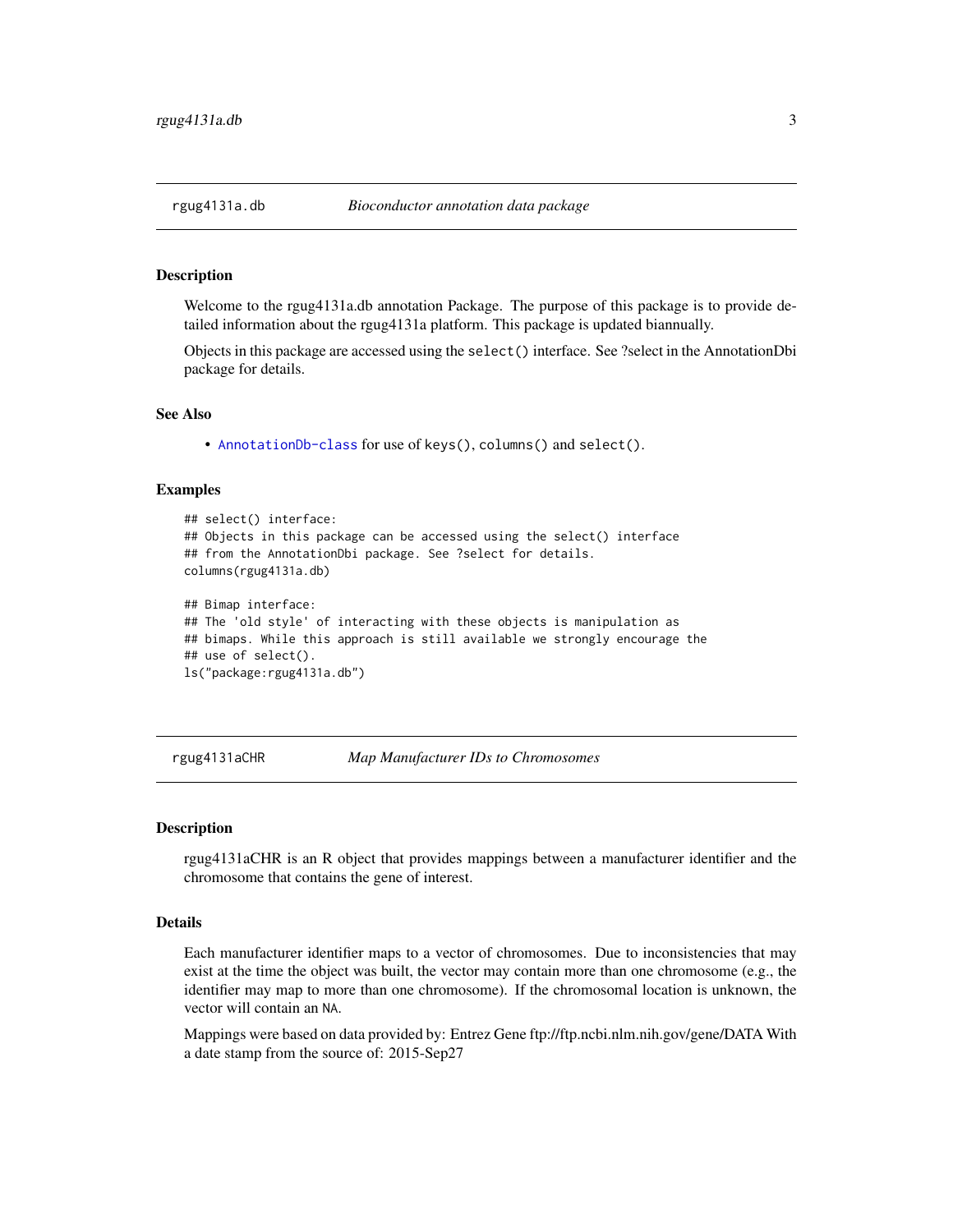### Description

Welcome to the rgug4131a.db annotation Package. The purpose of this package is to provide detailed information about the rgug4131a platform. This package is updated biannually.

Objects in this package are accessed using the select() interface. See ?select in the AnnotationDbi package for details.

#### See Also

• [AnnotationDb-class](#page-0-0) for use of keys(), columns() and select().

## Examples

```
## select() interface:
## Objects in this package can be accessed using the select() interface
## from the AnnotationDbi package. See ?select for details.
columns(rgug4131a.db)
## Bimap interface:
## The 'old style' of interacting with these objects is manipulation as
## bimaps. While this approach is still available we strongly encourage the
## use of select().
ls("package:rgug4131a.db")
```
rgug4131aCHR *Map Manufacturer IDs to Chromosomes*

#### **Description**

rgug4131aCHR is an R object that provides mappings between a manufacturer identifier and the chromosome that contains the gene of interest.

## Details

Each manufacturer identifier maps to a vector of chromosomes. Due to inconsistencies that may exist at the time the object was built, the vector may contain more than one chromosome (e.g., the identifier may map to more than one chromosome). If the chromosomal location is unknown, the vector will contain an NA.

Mappings were based on data provided by: Entrez Gene ftp://ftp.ncbi.nlm.nih.gov/gene/DATA With a date stamp from the source of: 2015-Sep27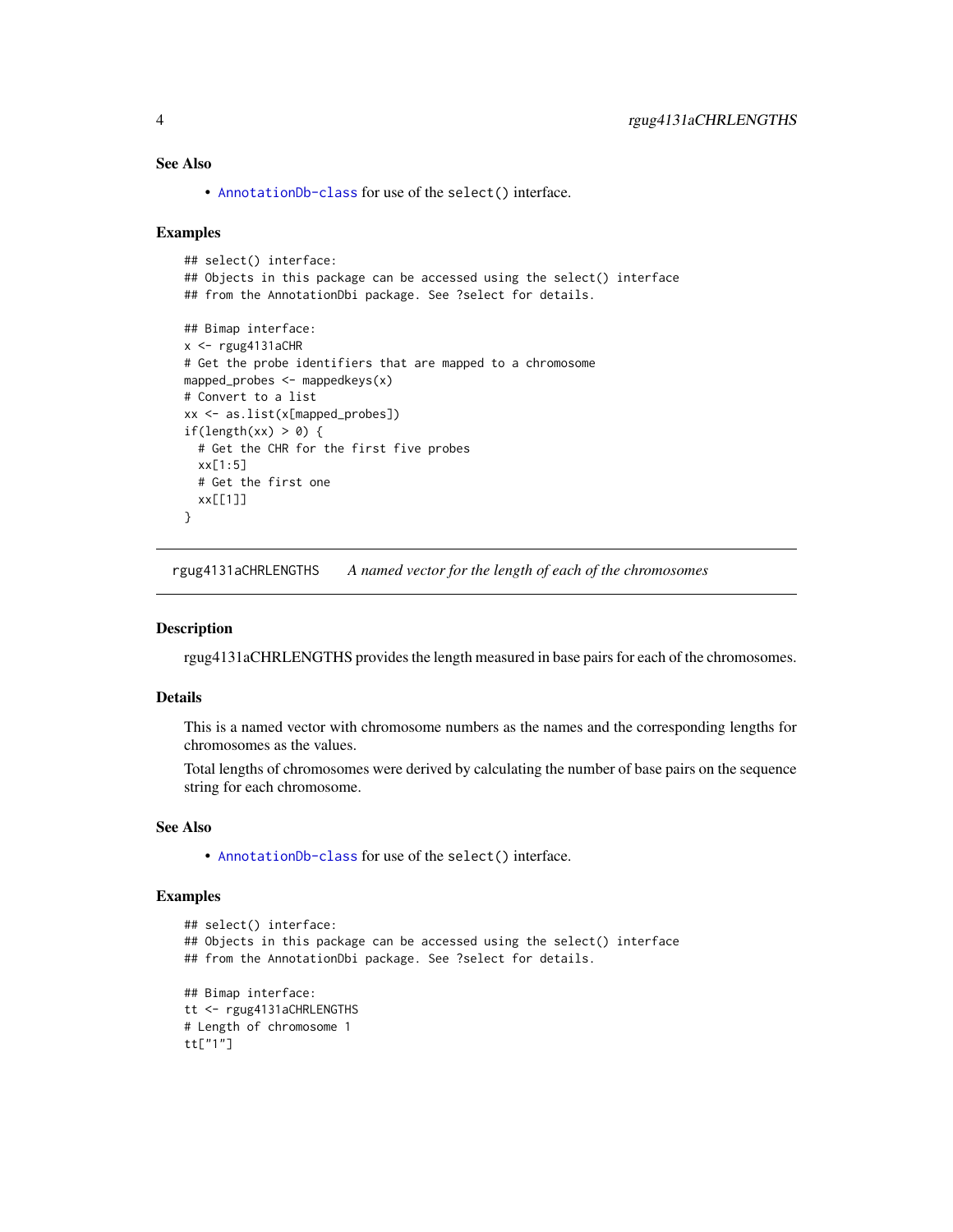## <span id="page-3-0"></span>See Also

• [AnnotationDb-class](#page-0-0) for use of the select() interface.

## Examples

```
## select() interface:
## Objects in this package can be accessed using the select() interface
## from the AnnotationDbi package. See ?select for details.
## Bimap interface:
x < -rgug4131aCHR
# Get the probe identifiers that are mapped to a chromosome
mapped_probes <- mappedkeys(x)
# Convert to a list
xx <- as.list(x[mapped_probes])
if(length(xx) > 0) {
  # Get the CHR for the first five probes
  xx[1:5]
  # Get the first one
  xx[[1]]
}
```
rgug4131aCHRLENGTHS *A named vector for the length of each of the chromosomes*

## Description

rgug4131aCHRLENGTHS provides the length measured in base pairs for each of the chromosomes.

## Details

This is a named vector with chromosome numbers as the names and the corresponding lengths for chromosomes as the values.

Total lengths of chromosomes were derived by calculating the number of base pairs on the sequence string for each chromosome.

## See Also

• [AnnotationDb-class](#page-0-0) for use of the select() interface.

```
## select() interface:
## Objects in this package can be accessed using the select() interface
## from the AnnotationDbi package. See ?select for details.
## Bimap interface:
tt <- rgug4131aCHRLENGTHS
# Length of chromosome 1
tt["1"]
```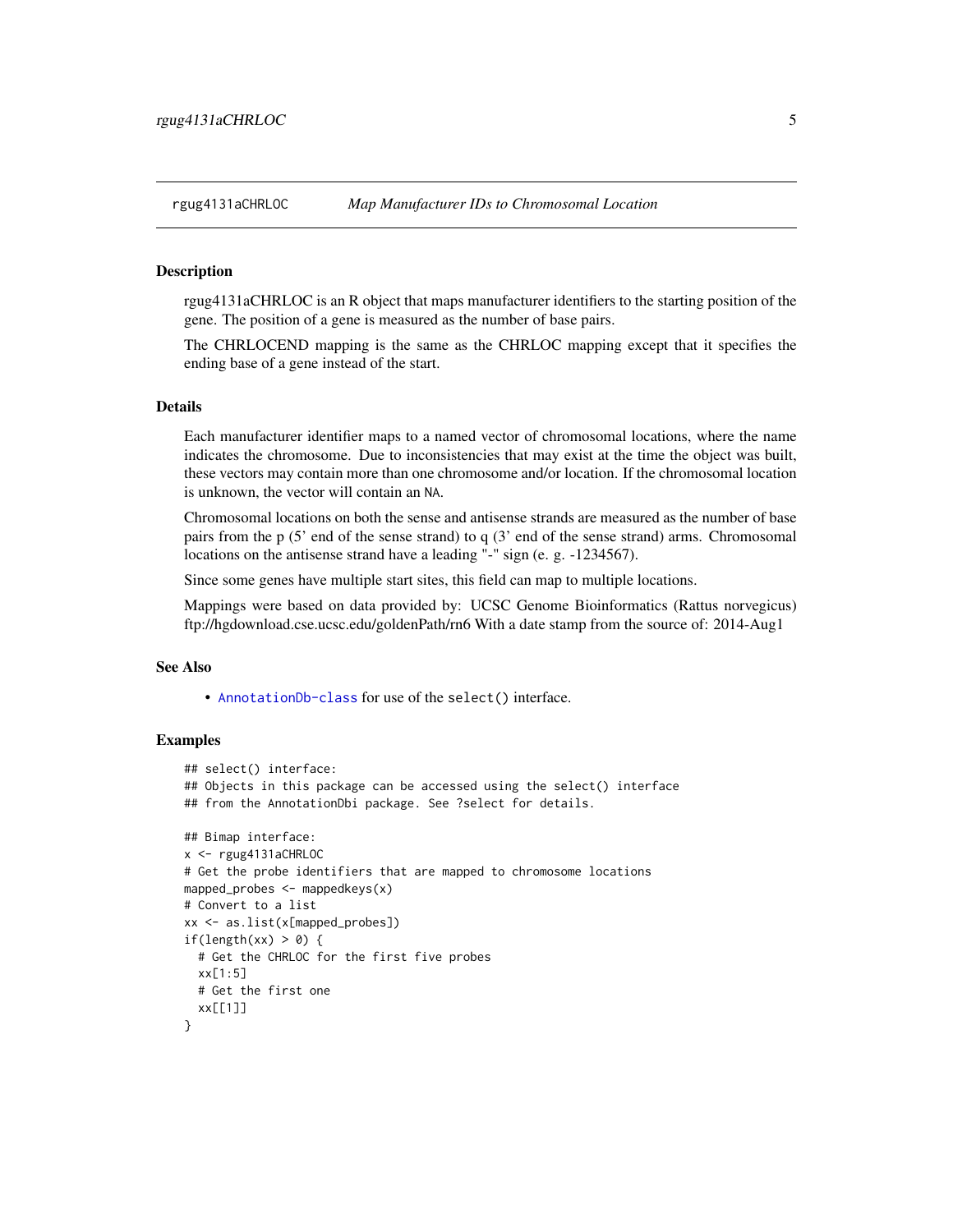<span id="page-4-0"></span>

## **Description**

rgug4131aCHRLOC is an R object that maps manufacturer identifiers to the starting position of the gene. The position of a gene is measured as the number of base pairs.

The CHRLOCEND mapping is the same as the CHRLOC mapping except that it specifies the ending base of a gene instead of the start.

## Details

Each manufacturer identifier maps to a named vector of chromosomal locations, where the name indicates the chromosome. Due to inconsistencies that may exist at the time the object was built, these vectors may contain more than one chromosome and/or location. If the chromosomal location is unknown, the vector will contain an NA.

Chromosomal locations on both the sense and antisense strands are measured as the number of base pairs from the p (5' end of the sense strand) to q (3' end of the sense strand) arms. Chromosomal locations on the antisense strand have a leading "-" sign (e. g. -1234567).

Since some genes have multiple start sites, this field can map to multiple locations.

Mappings were based on data provided by: UCSC Genome Bioinformatics (Rattus norvegicus) ftp://hgdownload.cse.ucsc.edu/goldenPath/rn6 With a date stamp from the source of: 2014-Aug1

## See Also

• [AnnotationDb-class](#page-0-0) for use of the select() interface.

```
## select() interface:
## Objects in this package can be accessed using the select() interface
## from the AnnotationDbi package. See ?select for details.
## Bimap interface:
x <- rgug4131aCHRLOC
# Get the probe identifiers that are mapped to chromosome locations
mapped_probes \leq mappedkeys(x)
# Convert to a list
xx <- as.list(x[mapped_probes])
if(length(xx) > 0) {
 # Get the CHRLOC for the first five probes
 xx[1:5]
 # Get the first one
 xx[[1]]
}
```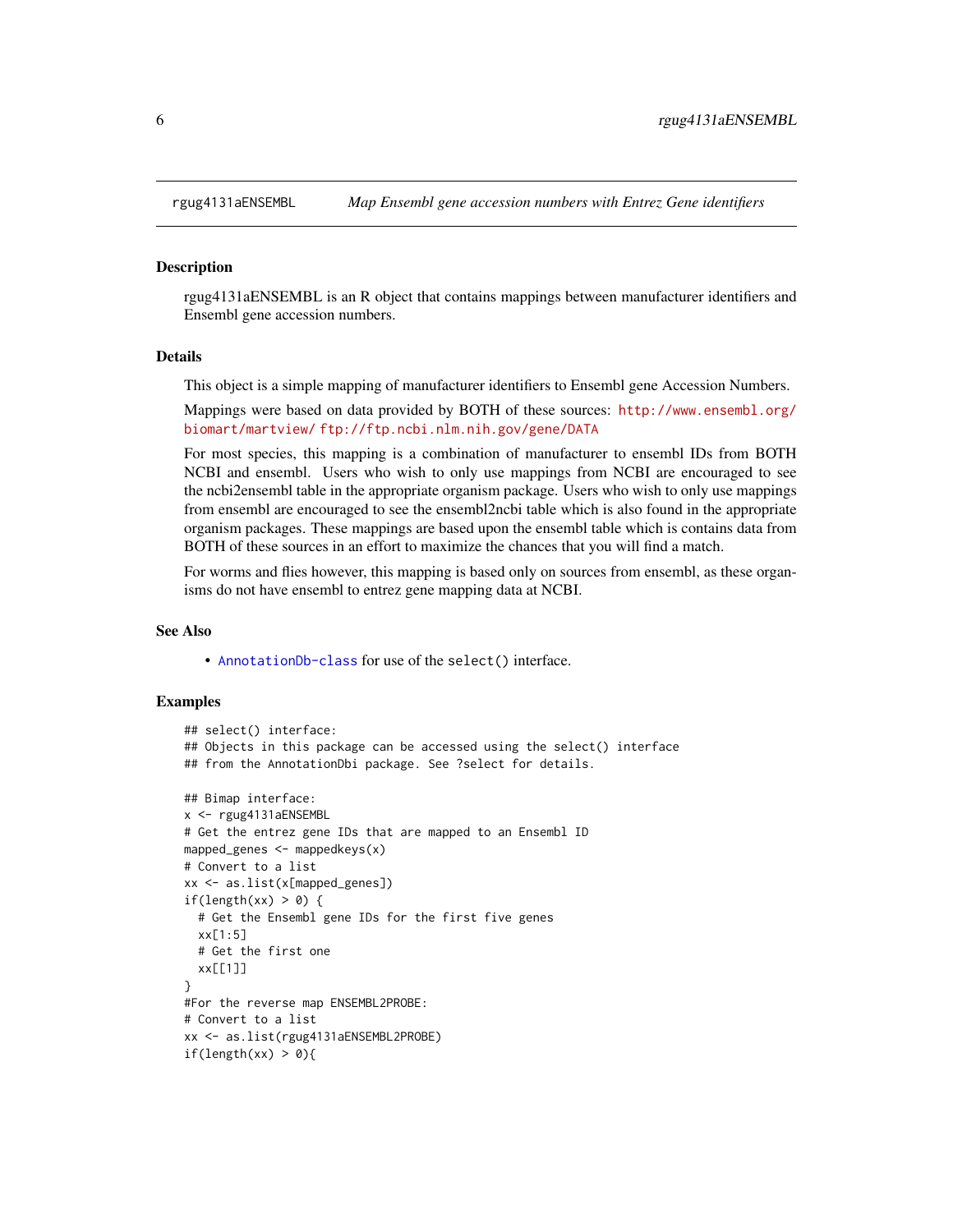<span id="page-5-0"></span>

#### Description

rgug4131aENSEMBL is an R object that contains mappings between manufacturer identifiers and Ensembl gene accession numbers.

## Details

This object is a simple mapping of manufacturer identifiers to Ensembl gene Accession Numbers.

Mappings were based on data provided by BOTH of these sources: [http://www.ensembl.org/](http://www.ensembl.org/biomart/martview/) [biomart/martview/](http://www.ensembl.org/biomart/martview/) <ftp://ftp.ncbi.nlm.nih.gov/gene/DATA>

For most species, this mapping is a combination of manufacturer to ensembl IDs from BOTH NCBI and ensembl. Users who wish to only use mappings from NCBI are encouraged to see the ncbi2ensembl table in the appropriate organism package. Users who wish to only use mappings from ensembl are encouraged to see the ensembl2ncbi table which is also found in the appropriate organism packages. These mappings are based upon the ensembl table which is contains data from BOTH of these sources in an effort to maximize the chances that you will find a match.

For worms and flies however, this mapping is based only on sources from ensembl, as these organisms do not have ensembl to entrez gene mapping data at NCBI.

#### See Also

• [AnnotationDb-class](#page-0-0) for use of the select() interface.

```
## select() interface:
## Objects in this package can be accessed using the select() interface
## from the AnnotationDbi package. See ?select for details.
## Bimap interface:
x <- rgug4131aENSEMBL
# Get the entrez gene IDs that are mapped to an Ensembl ID
mapped_genes \leq mappedkeys(x)
# Convert to a list
xx <- as.list(x[mapped_genes])
if(length(xx) > 0) {
 # Get the Ensembl gene IDs for the first five genes
 xx[1:5]
 # Get the first one
 xx[[1]]
}
#For the reverse map ENSEMBL2PROBE:
# Convert to a list
xx <- as.list(rgug4131aENSEMBL2PROBE)
if(length(xx) > 0){
```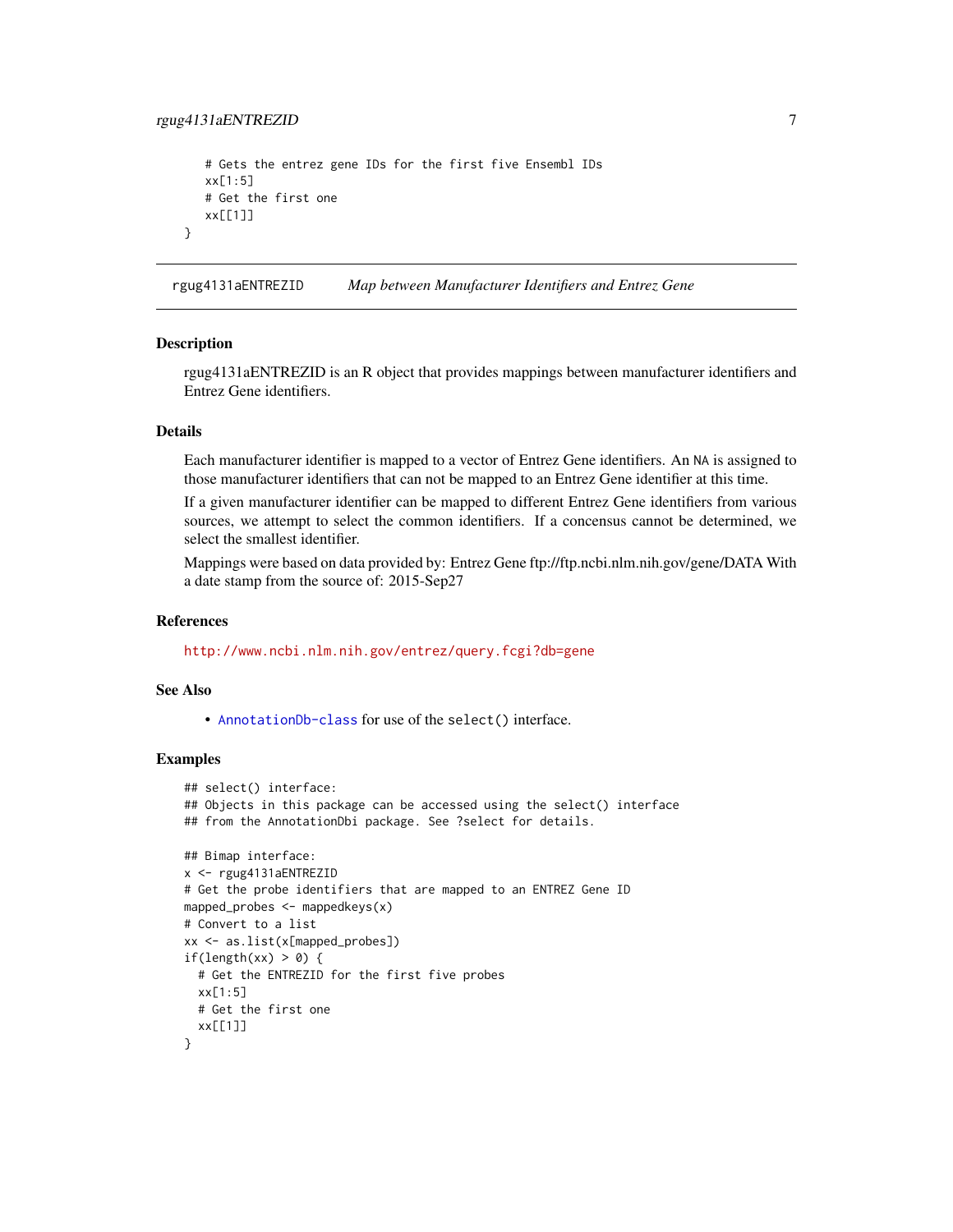## <span id="page-6-0"></span>rgug4131aENTREZID 7

```
# Gets the entrez gene IDs for the first five Ensembl IDs
xx[1:5]
# Get the first one
xx[[1]]
```
rgug4131aENTREZID *Map between Manufacturer Identifiers and Entrez Gene*

## **Description**

}

rgug4131aENTREZID is an R object that provides mappings between manufacturer identifiers and Entrez Gene identifiers.

## Details

Each manufacturer identifier is mapped to a vector of Entrez Gene identifiers. An NA is assigned to those manufacturer identifiers that can not be mapped to an Entrez Gene identifier at this time.

If a given manufacturer identifier can be mapped to different Entrez Gene identifiers from various sources, we attempt to select the common identifiers. If a concensus cannot be determined, we select the smallest identifier.

Mappings were based on data provided by: Entrez Gene ftp://ftp.ncbi.nlm.nih.gov/gene/DATA With a date stamp from the source of: 2015-Sep27

#### References

<http://www.ncbi.nlm.nih.gov/entrez/query.fcgi?db=gene>

## See Also

• [AnnotationDb-class](#page-0-0) for use of the select() interface.

```
## select() interface:
## Objects in this package can be accessed using the select() interface
## from the AnnotationDbi package. See ?select for details.
## Bimap interface:
x <- rgug4131aENTREZID
# Get the probe identifiers that are mapped to an ENTREZ Gene ID
mapped_probes <- mappedkeys(x)
# Convert to a list
xx <- as.list(x[mapped_probes])
if(length(xx) > 0) {
  # Get the ENTREZID for the first five probes
  xx[1:5]
  # Get the first one
  xx[[1]]
}
```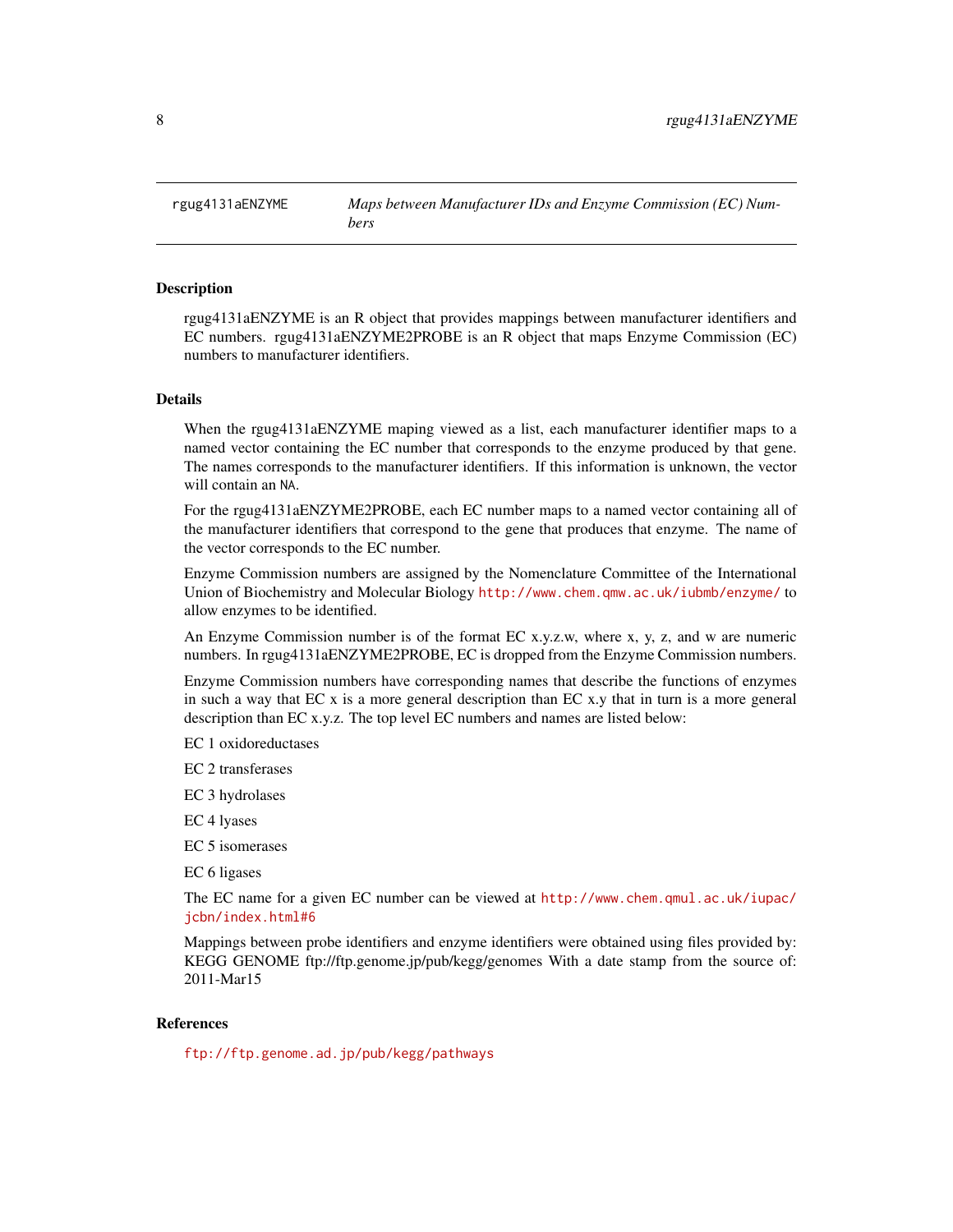<span id="page-7-0"></span>rgug4131aENZYME *Maps between Manufacturer IDs and Enzyme Commission (EC) Numbers*

## Description

rgug4131aENZYME is an R object that provides mappings between manufacturer identifiers and EC numbers. rgug4131aENZYME2PROBE is an R object that maps Enzyme Commission (EC) numbers to manufacturer identifiers.

## Details

When the rgug4131aENZYME maping viewed as a list, each manufacturer identifier maps to a named vector containing the EC number that corresponds to the enzyme produced by that gene. The names corresponds to the manufacturer identifiers. If this information is unknown, the vector will contain an NA.

For the rgug4131aENZYME2PROBE, each EC number maps to a named vector containing all of the manufacturer identifiers that correspond to the gene that produces that enzyme. The name of the vector corresponds to the EC number.

Enzyme Commission numbers are assigned by the Nomenclature Committee of the International Union of Biochemistry and Molecular Biology <http://www.chem.qmw.ac.uk/iubmb/enzyme/> to allow enzymes to be identified.

An Enzyme Commission number is of the format EC x.y.z.w, where x, y, z, and w are numeric numbers. In rgug4131aENZYME2PROBE, EC is dropped from the Enzyme Commission numbers.

Enzyme Commission numbers have corresponding names that describe the functions of enzymes in such a way that EC x is a more general description than EC x.y that in turn is a more general description than EC x.y.z. The top level EC numbers and names are listed below:

EC 1 oxidoreductases

EC 2 transferases

EC 3 hydrolases

EC 4 lyases

EC 5 isomerases

EC 6 ligases

The EC name for a given EC number can be viewed at [http://www.chem.qmul.ac.uk/iupac/](http://www.chem.qmul.ac.uk/iupac/jcbn/index.html#6) [jcbn/index.html#6](http://www.chem.qmul.ac.uk/iupac/jcbn/index.html#6)

Mappings between probe identifiers and enzyme identifiers were obtained using files provided by: KEGG GENOME ftp://ftp.genome.jp/pub/kegg/genomes With a date stamp from the source of: 2011-Mar15

#### References

<ftp://ftp.genome.ad.jp/pub/kegg/pathways>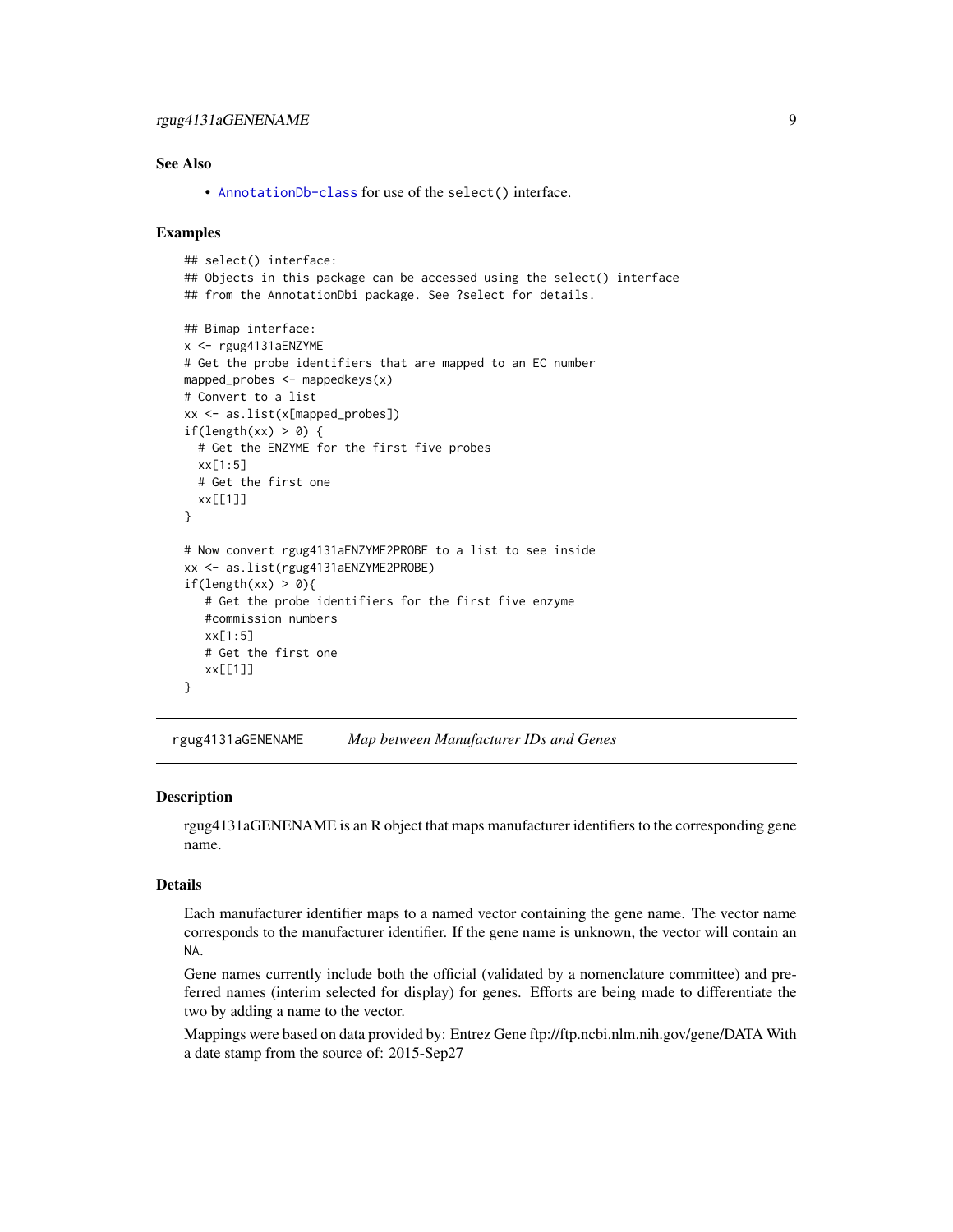## <span id="page-8-0"></span>rgug4131aGENENAME 9

## See Also

• [AnnotationDb-class](#page-0-0) for use of the select() interface.

## Examples

```
## select() interface:
## Objects in this package can be accessed using the select() interface
## from the AnnotationDbi package. See ?select for details.
## Bimap interface:
x <- rgug4131aENZYME
# Get the probe identifiers that are mapped to an EC number
mapped_probes <- mappedkeys(x)
# Convert to a list
xx <- as.list(x[mapped_probes])
if(length(xx) > 0) {
  # Get the ENZYME for the first five probes
  xx[1:5]
  # Get the first one
  xx[[1]]
}
# Now convert rgug4131aENZYME2PROBE to a list to see inside
xx <- as.list(rgug4131aENZYME2PROBE)
if(length(xx) > 0)# Get the probe identifiers for the first five enzyme
   #commission numbers
   xx[1:5]
   # Get the first one
   xx[[1]]
}
```
rgug4131aGENENAME *Map between Manufacturer IDs and Genes*

## Description

rgug4131aGENENAME is an R object that maps manufacturer identifiers to the corresponding gene name.

## Details

Each manufacturer identifier maps to a named vector containing the gene name. The vector name corresponds to the manufacturer identifier. If the gene name is unknown, the vector will contain an NA.

Gene names currently include both the official (validated by a nomenclature committee) and preferred names (interim selected for display) for genes. Efforts are being made to differentiate the two by adding a name to the vector.

Mappings were based on data provided by: Entrez Gene ftp://ftp.ncbi.nlm.nih.gov/gene/DATA With a date stamp from the source of: 2015-Sep27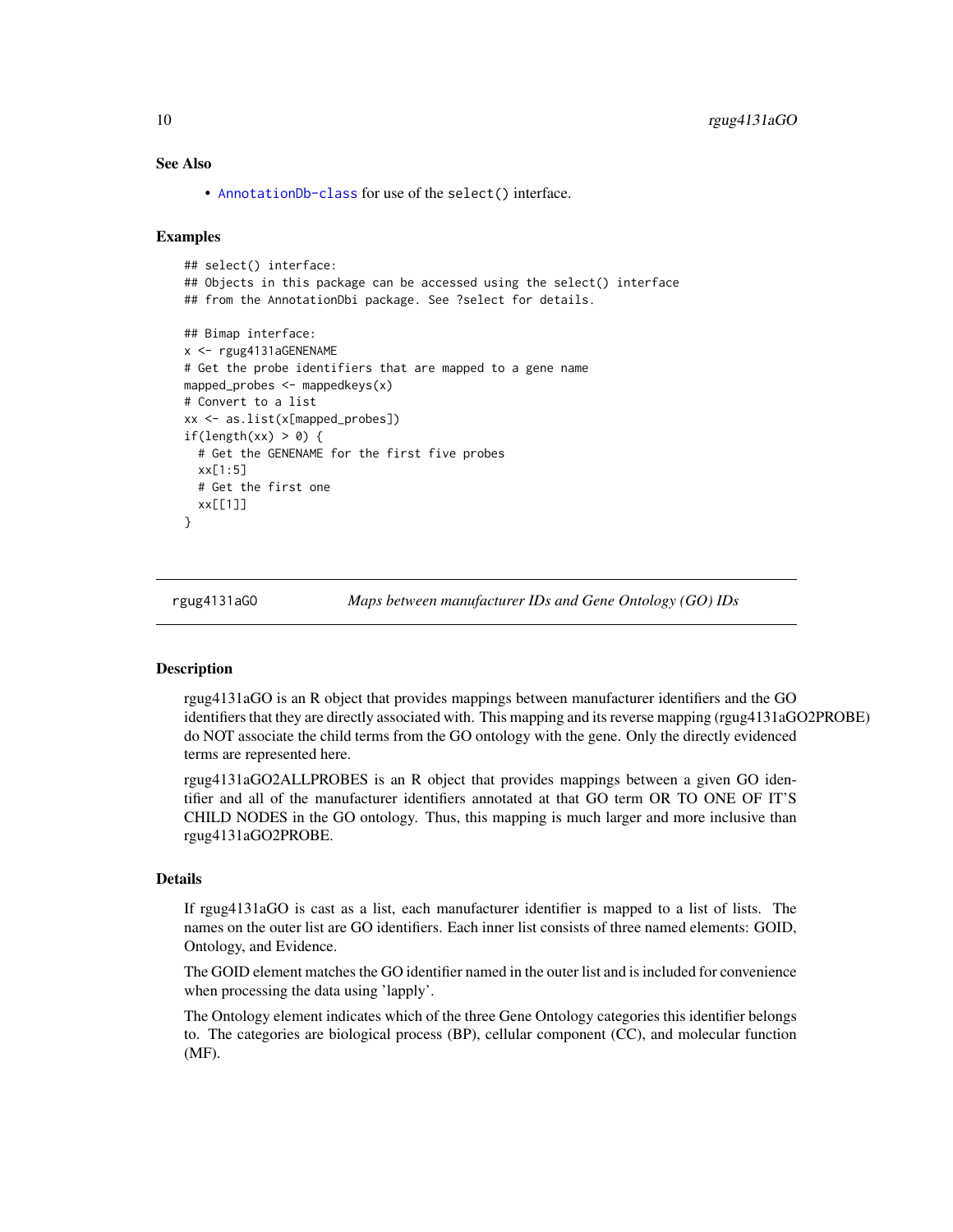## <span id="page-9-1"></span>See Also

• [AnnotationDb-class](#page-0-0) for use of the select() interface.

#### Examples

```
## select() interface:
## Objects in this package can be accessed using the select() interface
## from the AnnotationDbi package. See ?select for details.
## Bimap interface:
x <- rgug4131aGENENAME
# Get the probe identifiers that are mapped to a gene name
mapped_probes <- mappedkeys(x)
# Convert to a list
xx <- as.list(x[mapped_probes])
if(length(xx) > 0) {
 # Get the GENENAME for the first five probes
 xx[1:5]
 # Get the first one
 xx[[1]]
}
```
rgug4131aGO *Maps between manufacturer IDs and Gene Ontology (GO) IDs*

## <span id="page-9-0"></span>Description

rgug4131aGO is an R object that provides mappings between manufacturer identifiers and the GO identifiers that they are directly associated with. This mapping and its reverse mapping (rgug4131aGO2PROBE) do NOT associate the child terms from the GO ontology with the gene. Only the directly evidenced terms are represented here.

rgug4131aGO2ALLPROBES is an R object that provides mappings between a given GO identifier and all of the manufacturer identifiers annotated at that GO term OR TO ONE OF IT'S CHILD NODES in the GO ontology. Thus, this mapping is much larger and more inclusive than rgug4131aGO2PROBE.

## Details

If rgug4131aGO is cast as a list, each manufacturer identifier is mapped to a list of lists. The names on the outer list are GO identifiers. Each inner list consists of three named elements: GOID, Ontology, and Evidence.

The GOID element matches the GO identifier named in the outer list and is included for convenience when processing the data using 'lapply'.

The Ontology element indicates which of the three Gene Ontology categories this identifier belongs to. The categories are biological process (BP), cellular component (CC), and molecular function (MF).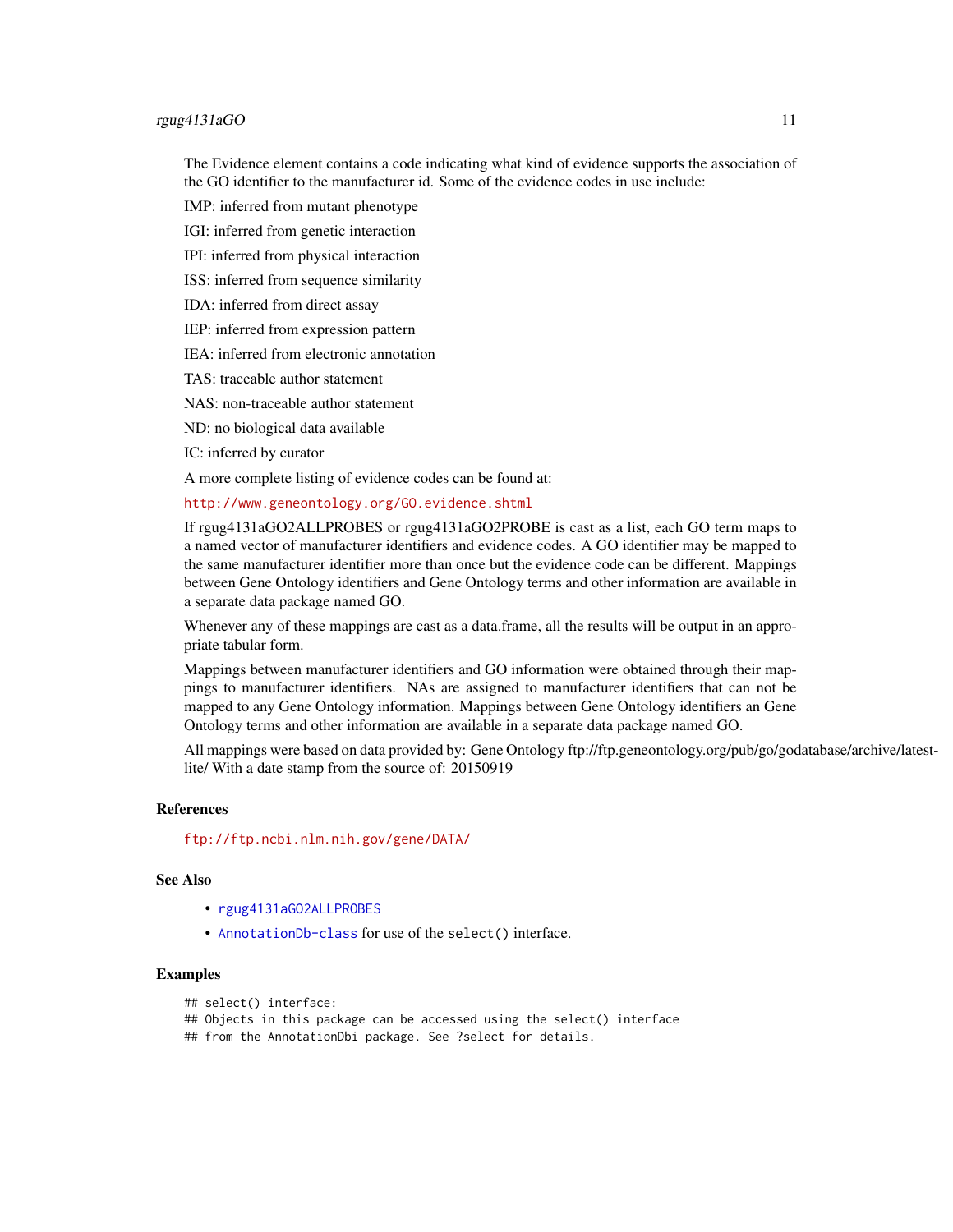## <span id="page-10-0"></span>rgug4131aGO 11

The Evidence element contains a code indicating what kind of evidence supports the association of the GO identifier to the manufacturer id. Some of the evidence codes in use include:

IMP: inferred from mutant phenotype

IGI: inferred from genetic interaction

IPI: inferred from physical interaction

ISS: inferred from sequence similarity

IDA: inferred from direct assay

IEP: inferred from expression pattern

IEA: inferred from electronic annotation

TAS: traceable author statement

NAS: non-traceable author statement

ND: no biological data available

IC: inferred by curator

A more complete listing of evidence codes can be found at:

<http://www.geneontology.org/GO.evidence.shtml>

If rgug4131aGO2ALLPROBES or rgug4131aGO2PROBE is cast as a list, each GO term maps to a named vector of manufacturer identifiers and evidence codes. A GO identifier may be mapped to the same manufacturer identifier more than once but the evidence code can be different. Mappings between Gene Ontology identifiers and Gene Ontology terms and other information are available in a separate data package named GO.

Whenever any of these mappings are cast as a data.frame, all the results will be output in an appropriate tabular form.

Mappings between manufacturer identifiers and GO information were obtained through their mappings to manufacturer identifiers. NAs are assigned to manufacturer identifiers that can not be mapped to any Gene Ontology information. Mappings between Gene Ontology identifiers an Gene Ontology terms and other information are available in a separate data package named GO.

All mappings were based on data provided by: Gene Ontology ftp://ftp.geneontology.org/pub/go/godatabase/archive/latestlite/ With a date stamp from the source of: 20150919

## References

<ftp://ftp.ncbi.nlm.nih.gov/gene/DATA/>

## See Also

- [rgug4131aGO2ALLPROBES](#page-9-0)
- [AnnotationDb-class](#page-0-0) for use of the select() interface.

## Examples

```
## select() interface:
```
## Objects in this package can be accessed using the select() interface

## from the AnnotationDbi package. See ?select for details.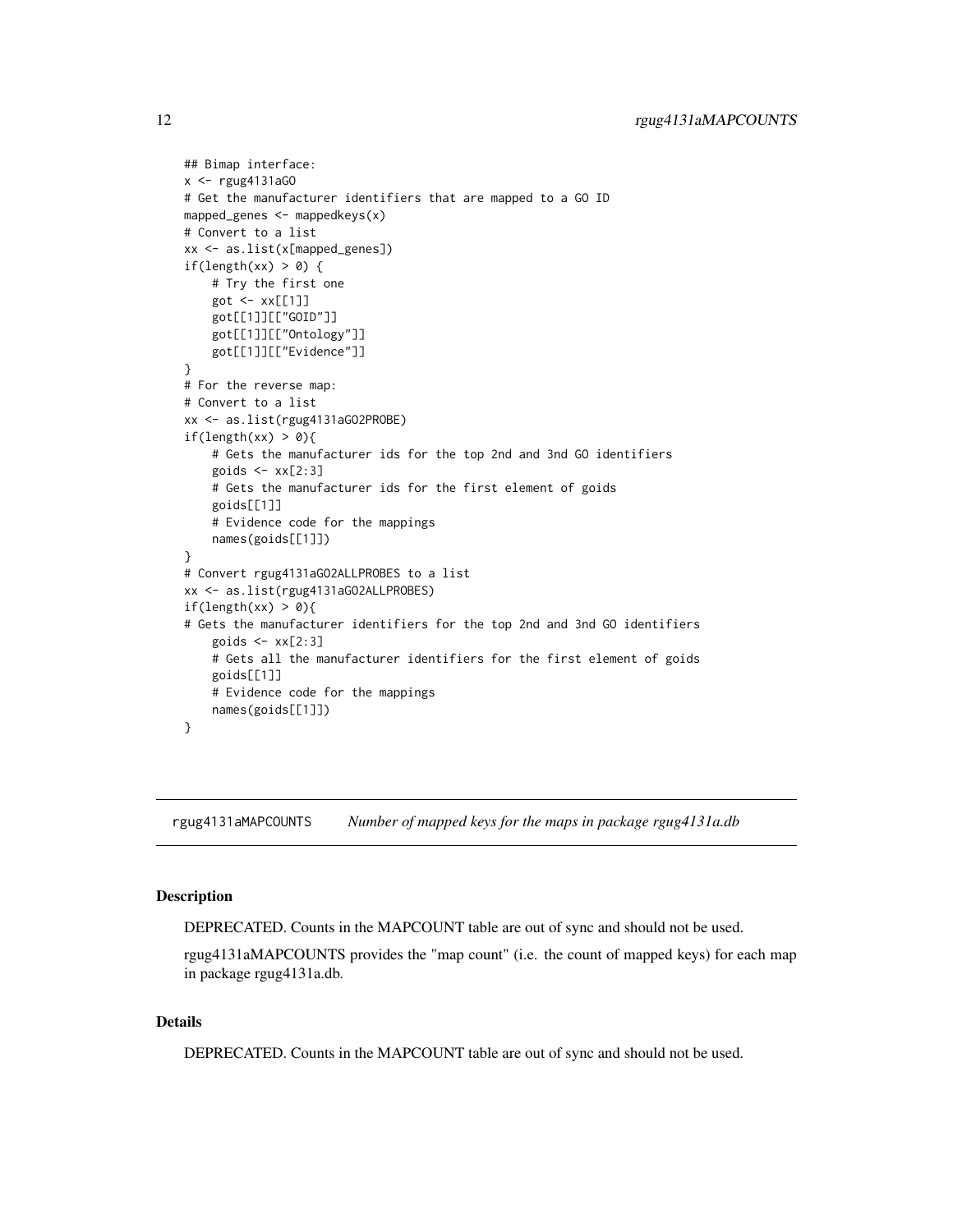```
## Bimap interface:
x <- rgug4131aGO
# Get the manufacturer identifiers that are mapped to a GO ID
mapped_genes \leq mappedkeys(x)
# Convert to a list
xx <- as.list(x[mapped_genes])
if(length(xx) > 0) {
    # Try the first one
    got <- xx[[1]]
    got[[1]][["GOID"]]
    got[[1]][["Ontology"]]
    got[[1]][["Evidence"]]
}
# For the reverse map:
# Convert to a list
xx <- as.list(rgug4131aGO2PROBE)
if(length(xx) > 0){
    # Gets the manufacturer ids for the top 2nd and 3nd GO identifiers
    goids \leq -x \times [2:3]# Gets the manufacturer ids for the first element of goids
    goids[[1]]
    # Evidence code for the mappings
    names(goids[[1]])
}
# Convert rgug4131aGO2ALLPROBES to a list
xx <- as.list(rgug4131aGO2ALLPROBES)
if(length(xx) > 0){
# Gets the manufacturer identifiers for the top 2nd and 3nd GO identifiers
    goids \leq -x \times [2:3]# Gets all the manufacturer identifiers for the first element of goids
    goids[[1]]
    # Evidence code for the mappings
    names(goids[[1]])
}
```
rgug4131aMAPCOUNTS *Number of mapped keys for the maps in package rgug4131a.db*

## **Description**

DEPRECATED. Counts in the MAPCOUNT table are out of sync and should not be used.

rgug4131aMAPCOUNTS provides the "map count" (i.e. the count of mapped keys) for each map in package rgug4131a.db.

## Details

DEPRECATED. Counts in the MAPCOUNT table are out of sync and should not be used.

<span id="page-11-0"></span>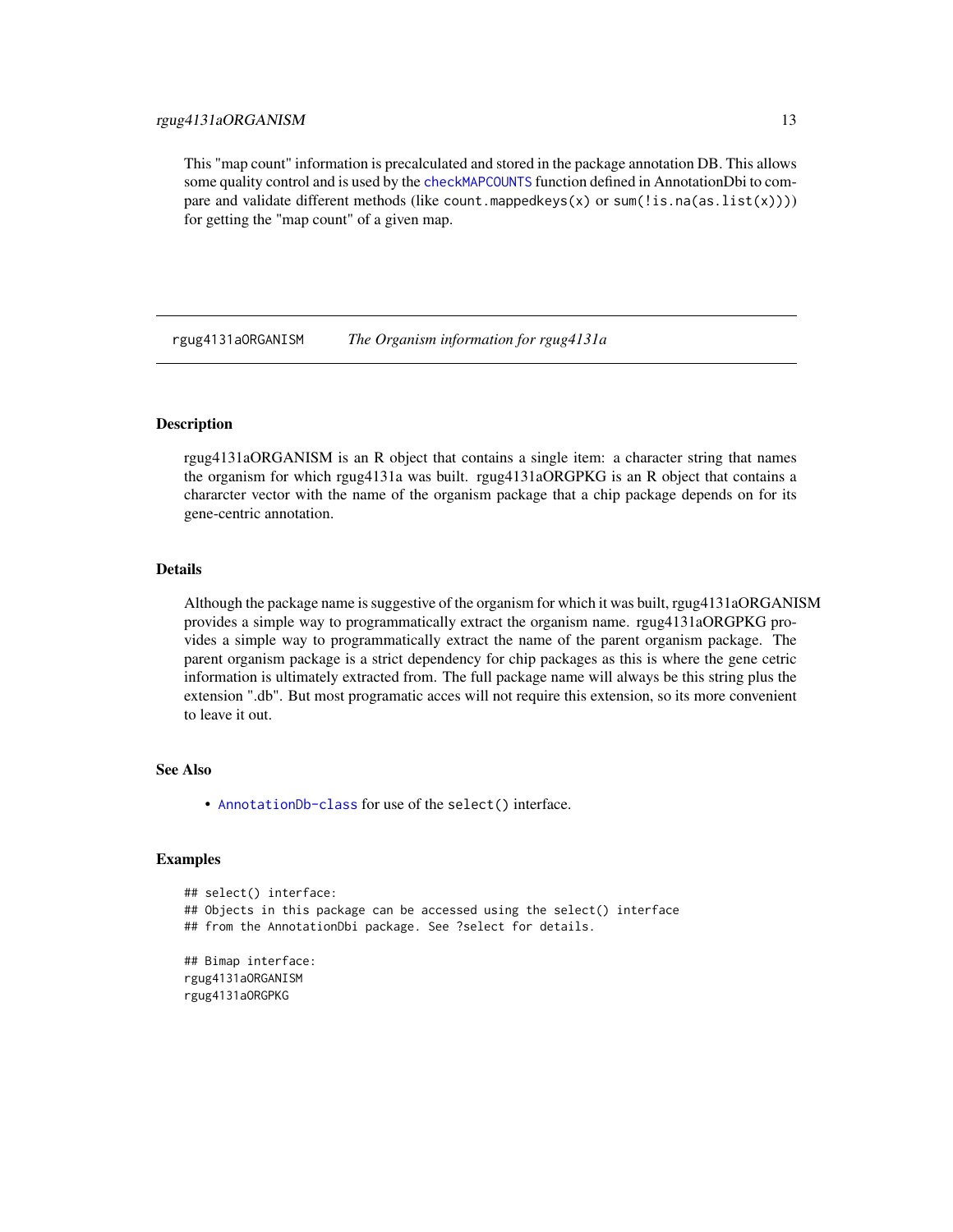<span id="page-12-0"></span>This "map count" information is precalculated and stored in the package annotation DB. This allows some quality control and is used by the [checkMAPCOUNTS](#page-0-0) function defined in AnnotationDbi to compare and validate different methods (like count.mappedkeys(x) or sum(!is.na(as.list(x)))) for getting the "map count" of a given map.

rgug4131aORGANISM *The Organism information for rgug4131a*

## Description

rgug4131aORGANISM is an R object that contains a single item: a character string that names the organism for which rgug4131a was built. rgug4131aORGPKG is an R object that contains a chararcter vector with the name of the organism package that a chip package depends on for its gene-centric annotation.

## **Details**

Although the package name is suggestive of the organism for which it was built, rgug4131aORGANISM provides a simple way to programmatically extract the organism name. rgug4131aORGPKG provides a simple way to programmatically extract the name of the parent organism package. The parent organism package is a strict dependency for chip packages as this is where the gene cetric information is ultimately extracted from. The full package name will always be this string plus the extension ".db". But most programatic acces will not require this extension, so its more convenient to leave it out.

## See Also

• [AnnotationDb-class](#page-0-0) for use of the select() interface.

## Examples

```
## select() interface:
## Objects in this package can be accessed using the select() interface
## from the AnnotationDbi package. See ?select for details.
## Bimap interface:
```
rgug4131aORGANISM rgug4131aORGPKG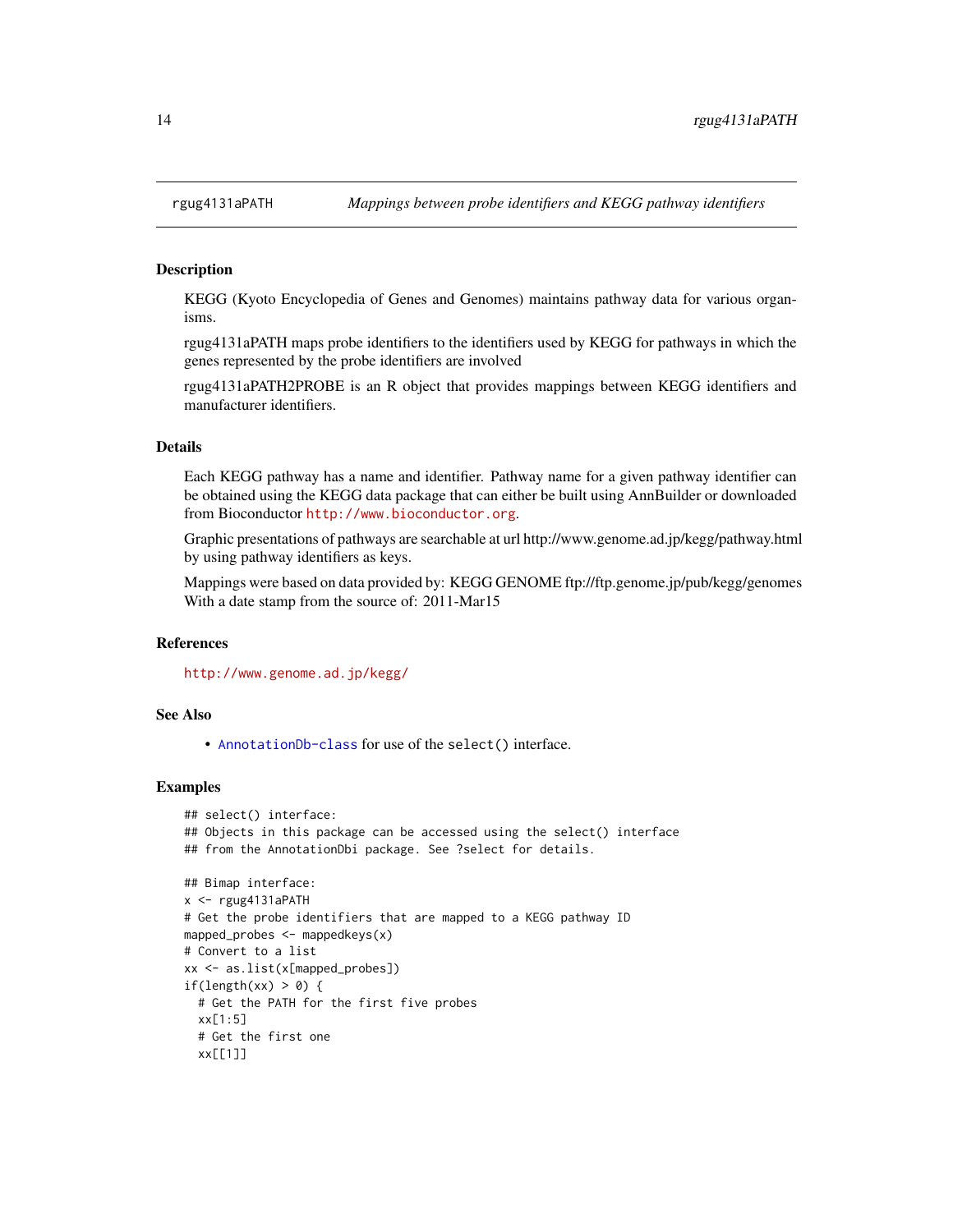## Description

KEGG (Kyoto Encyclopedia of Genes and Genomes) maintains pathway data for various organisms.

rgug4131aPATH maps probe identifiers to the identifiers used by KEGG for pathways in which the genes represented by the probe identifiers are involved

rgug4131aPATH2PROBE is an R object that provides mappings between KEGG identifiers and manufacturer identifiers.

## Details

Each KEGG pathway has a name and identifier. Pathway name for a given pathway identifier can be obtained using the KEGG data package that can either be built using AnnBuilder or downloaded from Bioconductor <http://www.bioconductor.org>.

Graphic presentations of pathways are searchable at url http://www.genome.ad.jp/kegg/pathway.html by using pathway identifiers as keys.

Mappings were based on data provided by: KEGG GENOME ftp://ftp.genome.jp/pub/kegg/genomes With a date stamp from the source of: 2011-Mar15

## References

<http://www.genome.ad.jp/kegg/>

## See Also

• [AnnotationDb-class](#page-0-0) for use of the select() interface.

```
## select() interface:
## Objects in this package can be accessed using the select() interface
## from the AnnotationDbi package. See ?select for details.
## Bimap interface:
x <- rgug4131aPATH
# Get the probe identifiers that are mapped to a KEGG pathway ID
mapped_probes \leq mappedkeys(x)
# Convert to a list
xx <- as.list(x[mapped_probes])
if(length(xx) > 0) {
  # Get the PATH for the first five probes
  xx[1:5]
  # Get the first one
  xx[[1]]
```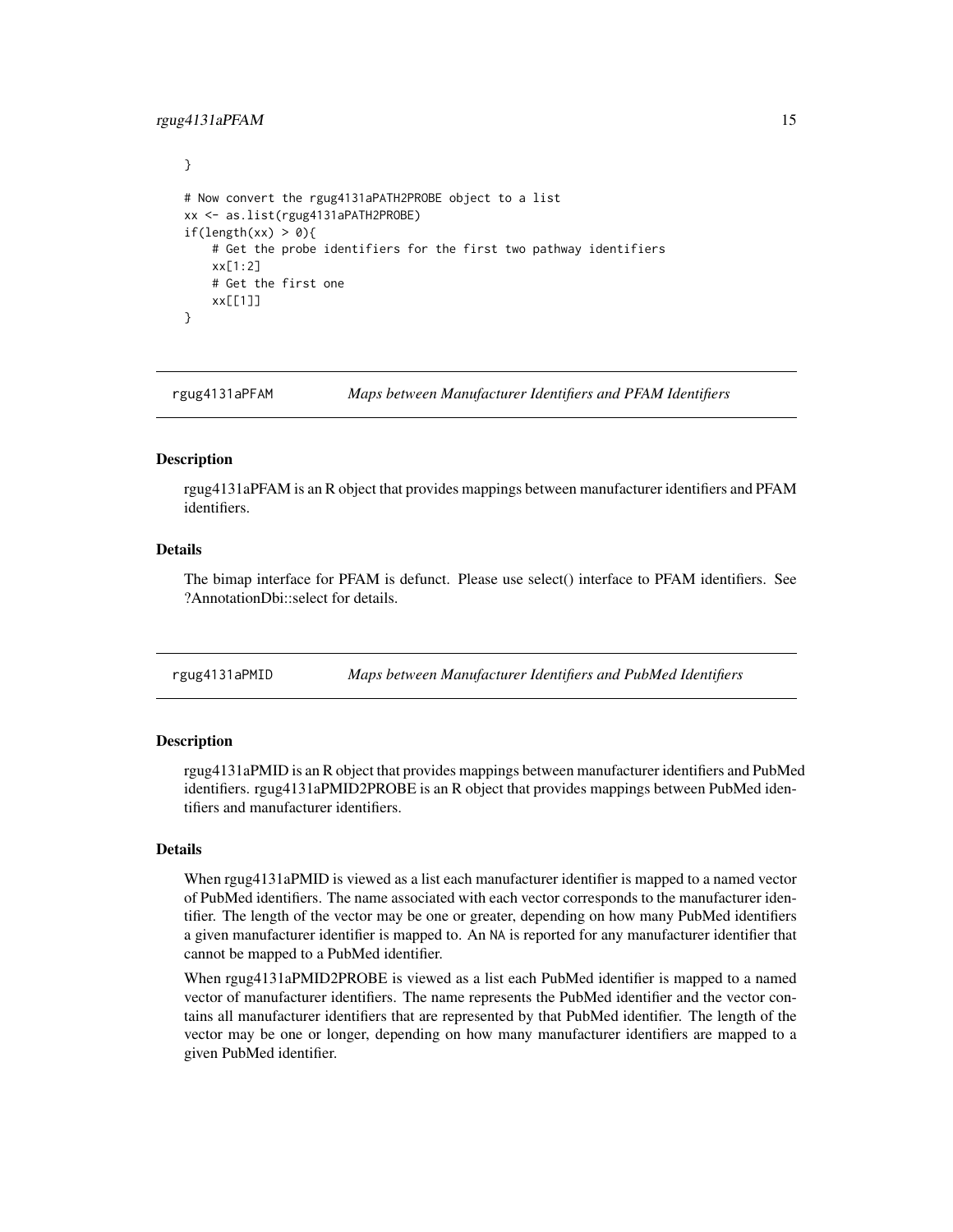## <span id="page-14-0"></span>rgug4131aPFAM 15

```
}
# Now convert the rgug4131aPATH2PROBE object to a list
xx <- as.list(rgug4131aPATH2PROBE)
if(length(xx) > 0){
    # Get the probe identifiers for the first two pathway identifiers
    xx[1:2]
    # Get the first one
    xx[[1]]
}
```
rgug4131aPFAM *Maps between Manufacturer Identifiers and PFAM Identifiers*

## Description

rgug4131aPFAM is an R object that provides mappings between manufacturer identifiers and PFAM identifiers.

## Details

The bimap interface for PFAM is defunct. Please use select() interface to PFAM identifiers. See ?AnnotationDbi::select for details.

rgug4131aPMID *Maps between Manufacturer Identifiers and PubMed Identifiers*

## **Description**

rgug4131aPMID is an R object that provides mappings between manufacturer identifiers and PubMed identifiers. rgug4131aPMID2PROBE is an R object that provides mappings between PubMed identifiers and manufacturer identifiers.

#### Details

When rgug4131aPMID is viewed as a list each manufacturer identifier is mapped to a named vector of PubMed identifiers. The name associated with each vector corresponds to the manufacturer identifier. The length of the vector may be one or greater, depending on how many PubMed identifiers a given manufacturer identifier is mapped to. An NA is reported for any manufacturer identifier that cannot be mapped to a PubMed identifier.

When rgug4131aPMID2PROBE is viewed as a list each PubMed identifier is mapped to a named vector of manufacturer identifiers. The name represents the PubMed identifier and the vector contains all manufacturer identifiers that are represented by that PubMed identifier. The length of the vector may be one or longer, depending on how many manufacturer identifiers are mapped to a given PubMed identifier.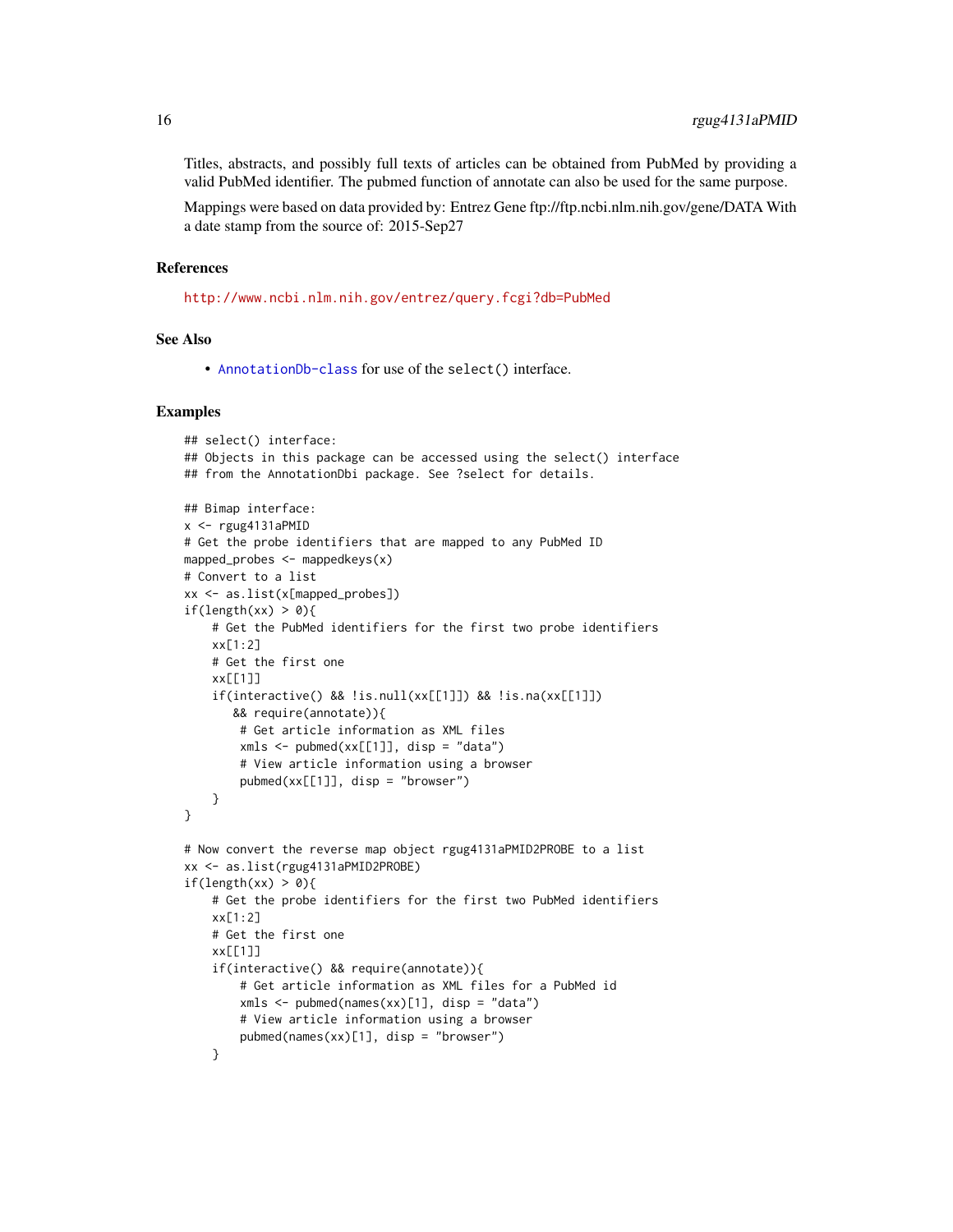Titles, abstracts, and possibly full texts of articles can be obtained from PubMed by providing a valid PubMed identifier. The pubmed function of annotate can also be used for the same purpose.

Mappings were based on data provided by: Entrez Gene ftp://ftp.ncbi.nlm.nih.gov/gene/DATA With a date stamp from the source of: 2015-Sep27

## References

<http://www.ncbi.nlm.nih.gov/entrez/query.fcgi?db=PubMed>

## See Also

• [AnnotationDb-class](#page-0-0) for use of the select() interface.

```
## select() interface:
## Objects in this package can be accessed using the select() interface
## from the AnnotationDbi package. See ?select for details.
## Bimap interface:
x <- rgug4131aPMID
# Get the probe identifiers that are mapped to any PubMed ID
mapped_probes \leq mappedkeys(x)
# Convert to a list
xx <- as.list(x[mapped_probes])
if(length(xx) > 0){
    # Get the PubMed identifiers for the first two probe identifiers
    xx[1:2]
    # Get the first one
   xx[[1]]
    if(interactive() && !is.null(xx[[1]]) && !is.na(xx[[1]])
       && require(annotate)){
        # Get article information as XML files
        xmls < -pubmed(xx[[1]], disp = "data")# View article information using a browser
        public(xx[[1]], disp = "browser")}
}
# Now convert the reverse map object rgug4131aPMID2PROBE to a list
xx <- as.list(rgug4131aPMID2PROBE)
if(length(xx) > 0)# Get the probe identifiers for the first two PubMed identifiers
    xx[1:2]# Get the first one
    xx[[1]]
    if(interactive() && require(annotate)){
        # Get article information as XML files for a PubMed id
        xmls < -pubmed(names(xx)[1], disp = "data")# View article information using a browser
        pubmed(names(xx)[1], disp = "browser")
    }
```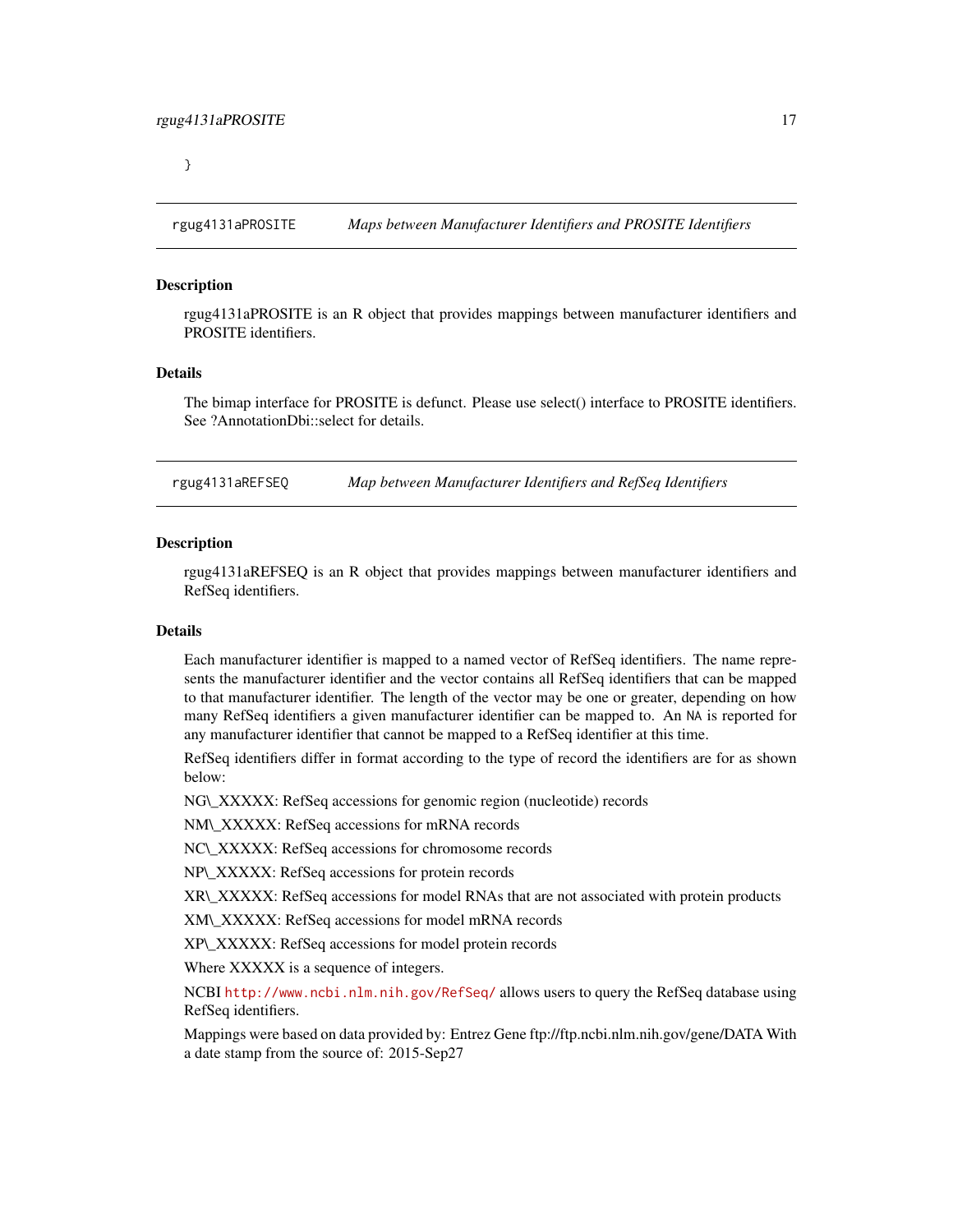<span id="page-16-0"></span>}

rgug4131aPROSITE *Maps between Manufacturer Identifiers and PROSITE Identifiers*

## **Description**

rgug4131aPROSITE is an R object that provides mappings between manufacturer identifiers and PROSITE identifiers.

## Details

The bimap interface for PROSITE is defunct. Please use select() interface to PROSITE identifiers. See ?AnnotationDbi::select for details.

rgug4131aREFSEQ *Map between Manufacturer Identifiers and RefSeq Identifiers*

#### Description

rgug4131aREFSEQ is an R object that provides mappings between manufacturer identifiers and RefSeq identifiers.

#### Details

Each manufacturer identifier is mapped to a named vector of RefSeq identifiers. The name represents the manufacturer identifier and the vector contains all RefSeq identifiers that can be mapped to that manufacturer identifier. The length of the vector may be one or greater, depending on how many RefSeq identifiers a given manufacturer identifier can be mapped to. An NA is reported for any manufacturer identifier that cannot be mapped to a RefSeq identifier at this time.

RefSeq identifiers differ in format according to the type of record the identifiers are for as shown below:

NG\\_XXXXX: RefSeq accessions for genomic region (nucleotide) records

NM\\_XXXXX: RefSeq accessions for mRNA records

NC\\_XXXXX: RefSeq accessions for chromosome records

NP\\_XXXXX: RefSeq accessions for protein records

XR\\_XXXXX: RefSeq accessions for model RNAs that are not associated with protein products

XM\\_XXXXX: RefSeq accessions for model mRNA records

XP\\_XXXXX: RefSeq accessions for model protein records

Where XXXXX is a sequence of integers.

NCBI <http://www.ncbi.nlm.nih.gov/RefSeq/> allows users to query the RefSeq database using RefSeq identifiers.

Mappings were based on data provided by: Entrez Gene ftp://ftp.ncbi.nlm.nih.gov/gene/DATA With a date stamp from the source of: 2015-Sep27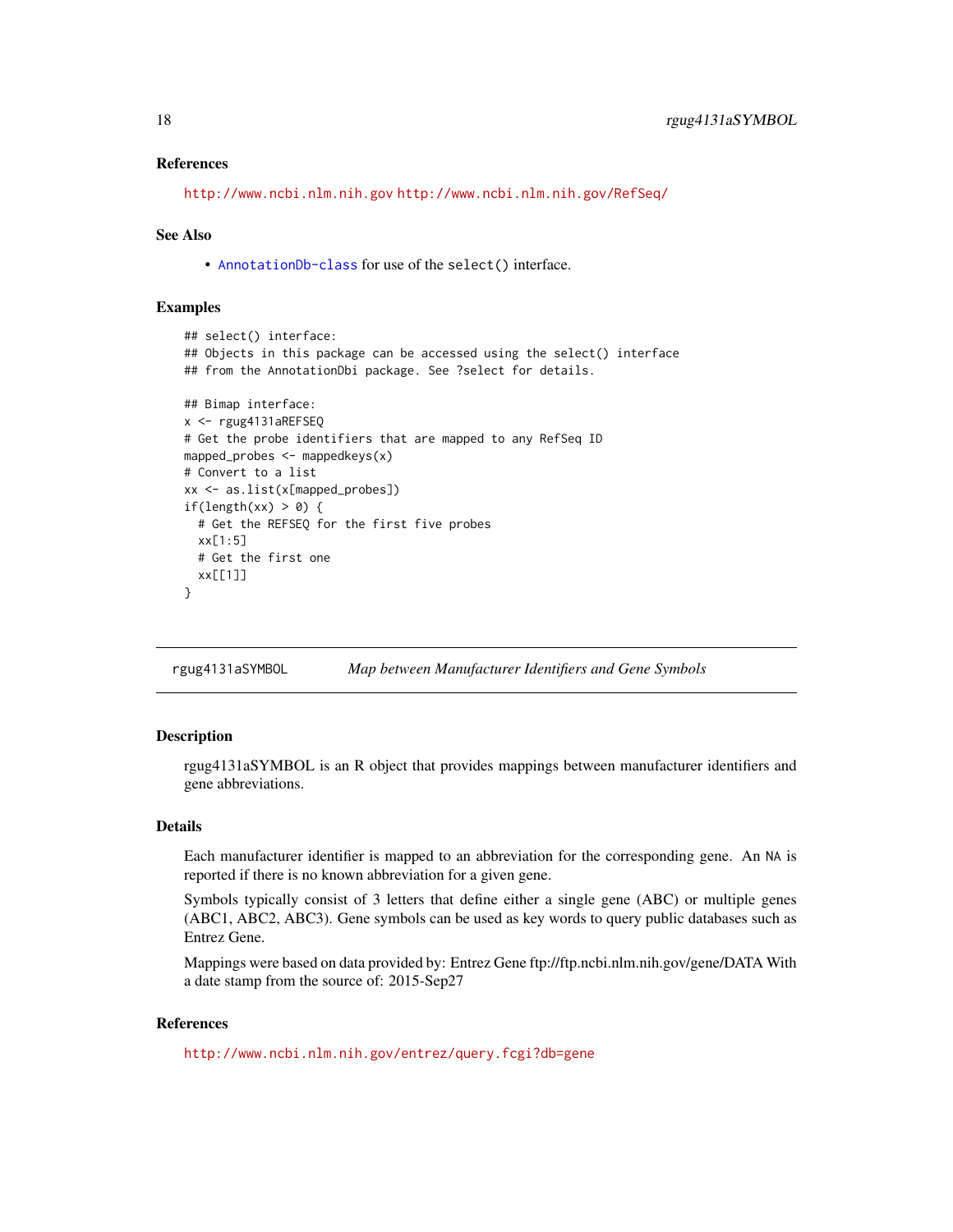## <span id="page-17-0"></span>References

```
http://www.ncbi.nlm.nih.gov http://www.ncbi.nlm.nih.gov/RefSeq/
```
## See Also

• [AnnotationDb-class](#page-0-0) for use of the select() interface.

## Examples

```
## select() interface:
## Objects in this package can be accessed using the select() interface
## from the AnnotationDbi package. See ?select for details.
## Bimap interface:
x <- rgug4131aREFSEQ
# Get the probe identifiers that are mapped to any RefSeq ID
mapped_probes <- mappedkeys(x)
# Convert to a list
xx <- as.list(x[mapped_probes])
if(length(xx) > 0) {
  # Get the REFSEQ for the first five probes
  xx[1:5]
  # Get the first one
  xx[[1]]
}
```
rgug4131aSYMBOL *Map between Manufacturer Identifiers and Gene Symbols*

## Description

rgug4131aSYMBOL is an R object that provides mappings between manufacturer identifiers and gene abbreviations.

## **Details**

Each manufacturer identifier is mapped to an abbreviation for the corresponding gene. An NA is reported if there is no known abbreviation for a given gene.

Symbols typically consist of 3 letters that define either a single gene (ABC) or multiple genes (ABC1, ABC2, ABC3). Gene symbols can be used as key words to query public databases such as Entrez Gene.

Mappings were based on data provided by: Entrez Gene ftp://ftp.ncbi.nlm.nih.gov/gene/DATA With a date stamp from the source of: 2015-Sep27

## References

<http://www.ncbi.nlm.nih.gov/entrez/query.fcgi?db=gene>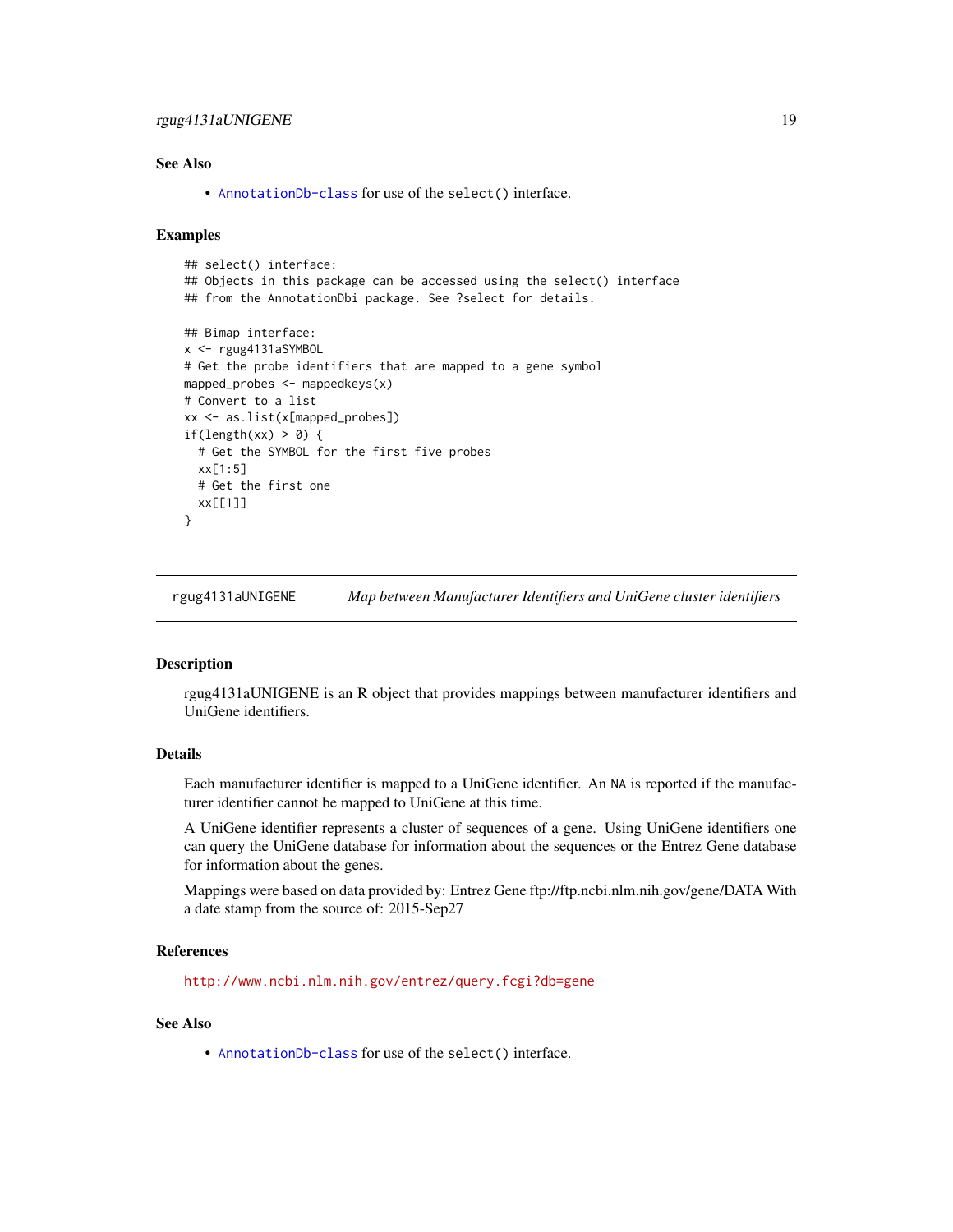## <span id="page-18-0"></span>rgug4131aUNIGENE 19

## See Also

• [AnnotationDb-class](#page-0-0) for use of the select() interface.

## Examples

```
## select() interface:
## Objects in this package can be accessed using the select() interface
## from the AnnotationDbi package. See ?select for details.
## Bimap interface:
x <- rgug4131aSYMBOL
# Get the probe identifiers that are mapped to a gene symbol
mapped_probes <- mappedkeys(x)
# Convert to a list
xx <- as.list(x[mapped_probes])
if(length(xx) > 0) {
 # Get the SYMBOL for the first five probes
 xx[1:5]
 # Get the first one
 xx[[1]]
}
```
rgug4131aUNIGENE *Map between Manufacturer Identifiers and UniGene cluster identifiers*

## **Description**

rgug4131aUNIGENE is an R object that provides mappings between manufacturer identifiers and UniGene identifiers.

## Details

Each manufacturer identifier is mapped to a UniGene identifier. An NA is reported if the manufacturer identifier cannot be mapped to UniGene at this time.

A UniGene identifier represents a cluster of sequences of a gene. Using UniGene identifiers one can query the UniGene database for information about the sequences or the Entrez Gene database for information about the genes.

Mappings were based on data provided by: Entrez Gene ftp://ftp.ncbi.nlm.nih.gov/gene/DATA With a date stamp from the source of: 2015-Sep27

## References

<http://www.ncbi.nlm.nih.gov/entrez/query.fcgi?db=gene>

## See Also

• [AnnotationDb-class](#page-0-0) for use of the select() interface.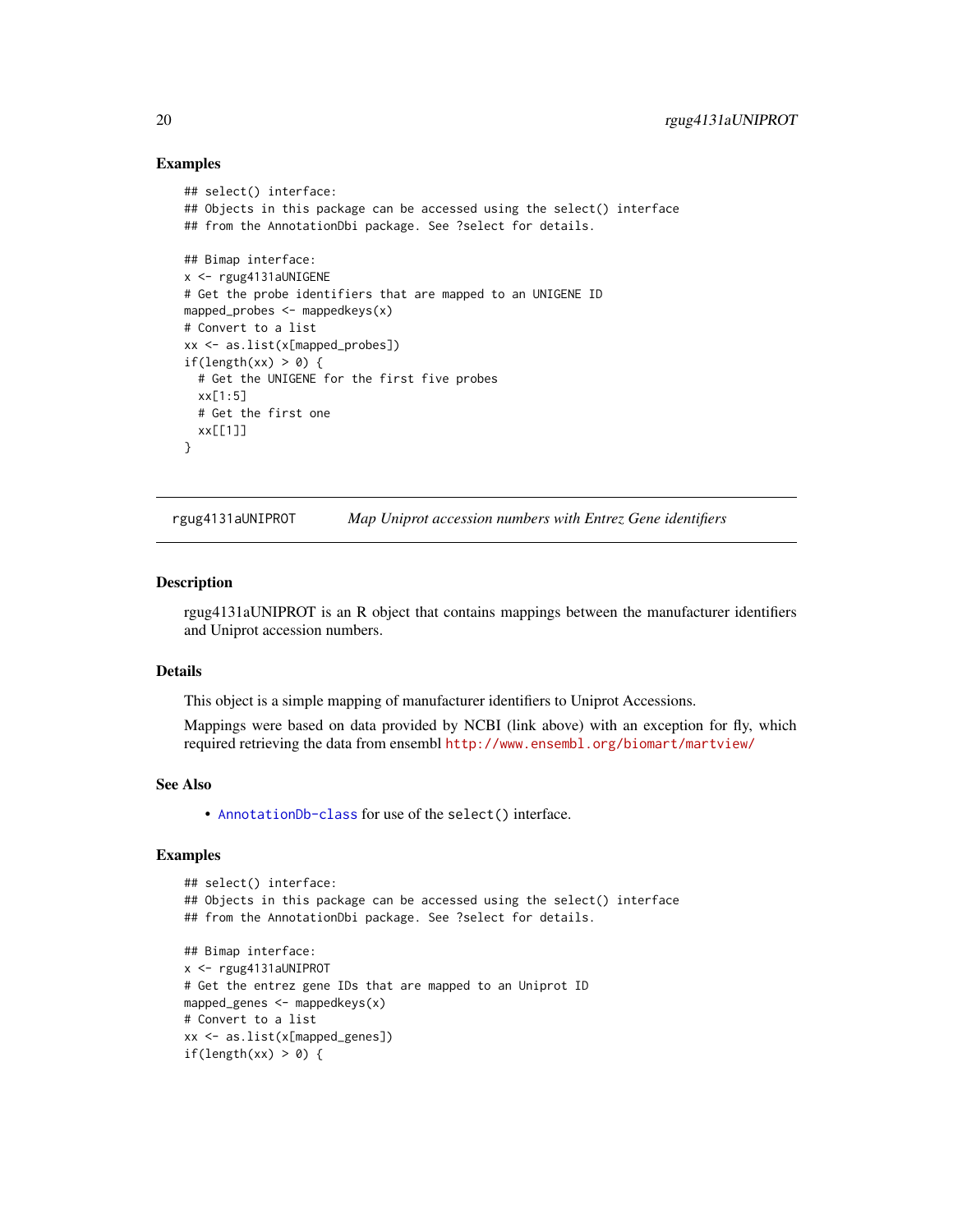## Examples

```
## select() interface:
## Objects in this package can be accessed using the select() interface
## from the AnnotationDbi package. See ?select for details.
## Bimap interface:
x <- rgug4131aUNIGENE
# Get the probe identifiers that are mapped to an UNIGENE ID
mapped_probes <- mappedkeys(x)
# Convert to a list
xx <- as.list(x[mapped_probes])
if(length(xx) > 0) {
  # Get the UNIGENE for the first five probes
  xx[1:5]
  # Get the first one
  xx[[1]]
}
```
rgug4131aUNIPROT *Map Uniprot accession numbers with Entrez Gene identifiers*

#### Description

rgug4131aUNIPROT is an R object that contains mappings between the manufacturer identifiers and Uniprot accession numbers.

## Details

This object is a simple mapping of manufacturer identifiers to Uniprot Accessions.

Mappings were based on data provided by NCBI (link above) with an exception for fly, which required retrieving the data from ensembl <http://www.ensembl.org/biomart/martview/>

## See Also

• [AnnotationDb-class](#page-0-0) for use of the select() interface.

```
## select() interface:
## Objects in this package can be accessed using the select() interface
## from the AnnotationDbi package. See ?select for details.
## Bimap interface:
x <- rgug4131aUNIPROT
# Get the entrez gene IDs that are mapped to an Uniprot ID
mapped_genes <- mappedkeys(x)
# Convert to a list
xx <- as.list(x[mapped_genes])
if(length(xx) > 0) {
```
<span id="page-19-0"></span>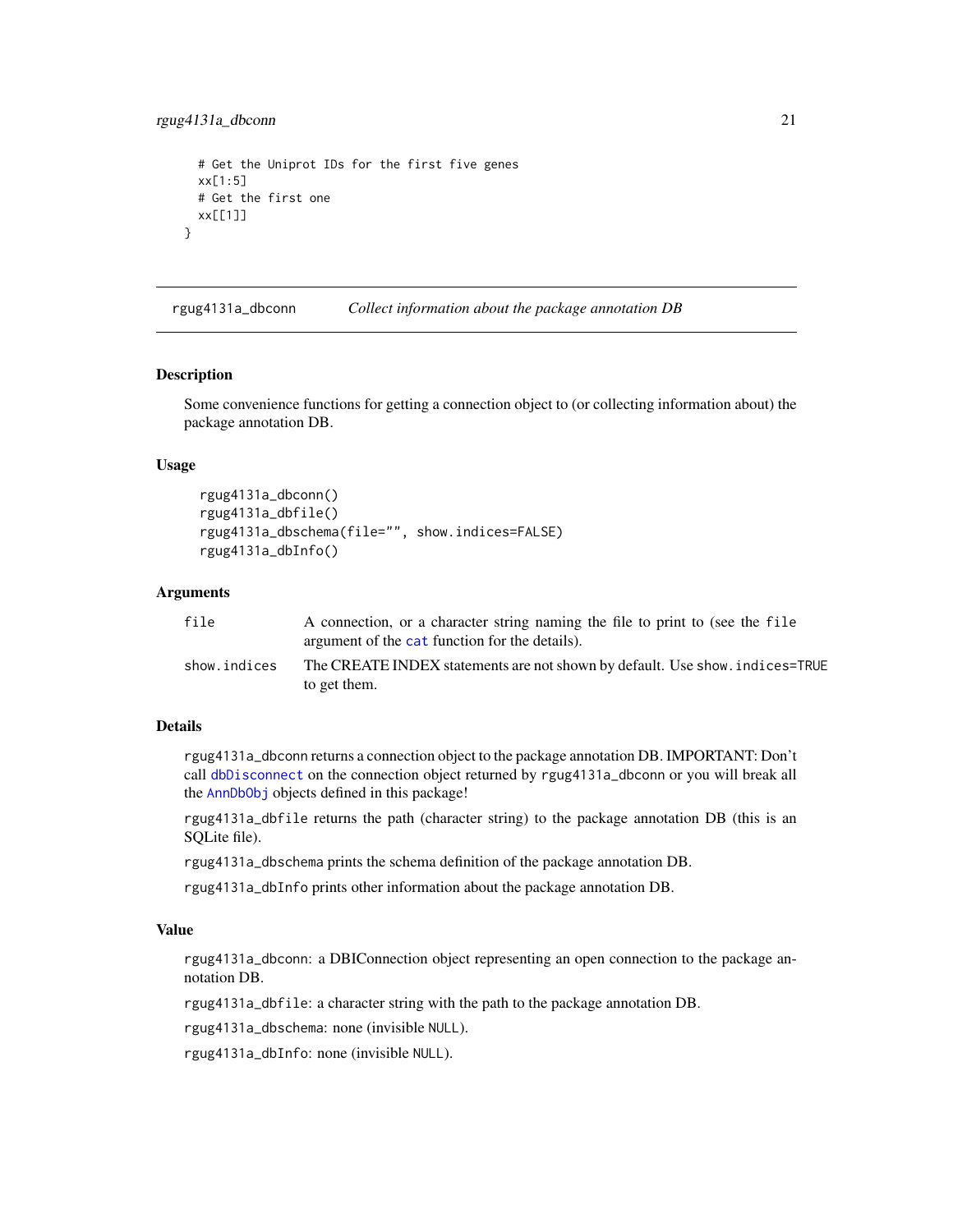```
# Get the Uniprot IDs for the first five genes
 xx[1:5]
 # Get the first one
 xx[[1]]
}
```
rgug4131a\_dbconn *Collect information about the package annotation DB*

#### Description

Some convenience functions for getting a connection object to (or collecting information about) the package annotation DB.

## Usage

```
rgug4131a_dbconn()
rgug4131a_dbfile()
rgug4131a_dbschema(file="", show.indices=FALSE)
rgug4131a_dbInfo()
```
## **Arguments**

| file         | A connection, or a character string naming the file to print to (see the file<br>argument of the cat function for the details). |
|--------------|---------------------------------------------------------------------------------------------------------------------------------|
| show.indices | The CREATE INDEX statements are not shown by default. Use show, indices=TRUE<br>to get them.                                    |

## Details

rgug4131a\_dbconn returns a connection object to the package annotation DB. IMPORTANT: Don't call [dbDisconnect](#page-0-0) on the connection object returned by rgug4131a\_dbconn or you will break all the [AnnDbObj](#page-0-0) objects defined in this package!

rgug4131a\_dbfile returns the path (character string) to the package annotation DB (this is an SQLite file).

rgug4131a\_dbschema prints the schema definition of the package annotation DB.

rgug4131a\_dbInfo prints other information about the package annotation DB.

## Value

rgug4131a\_dbconn: a DBIConnection object representing an open connection to the package annotation DB.

rgug4131a\_dbfile: a character string with the path to the package annotation DB.

rgug4131a\_dbschema: none (invisible NULL).

rgug4131a\_dbInfo: none (invisible NULL).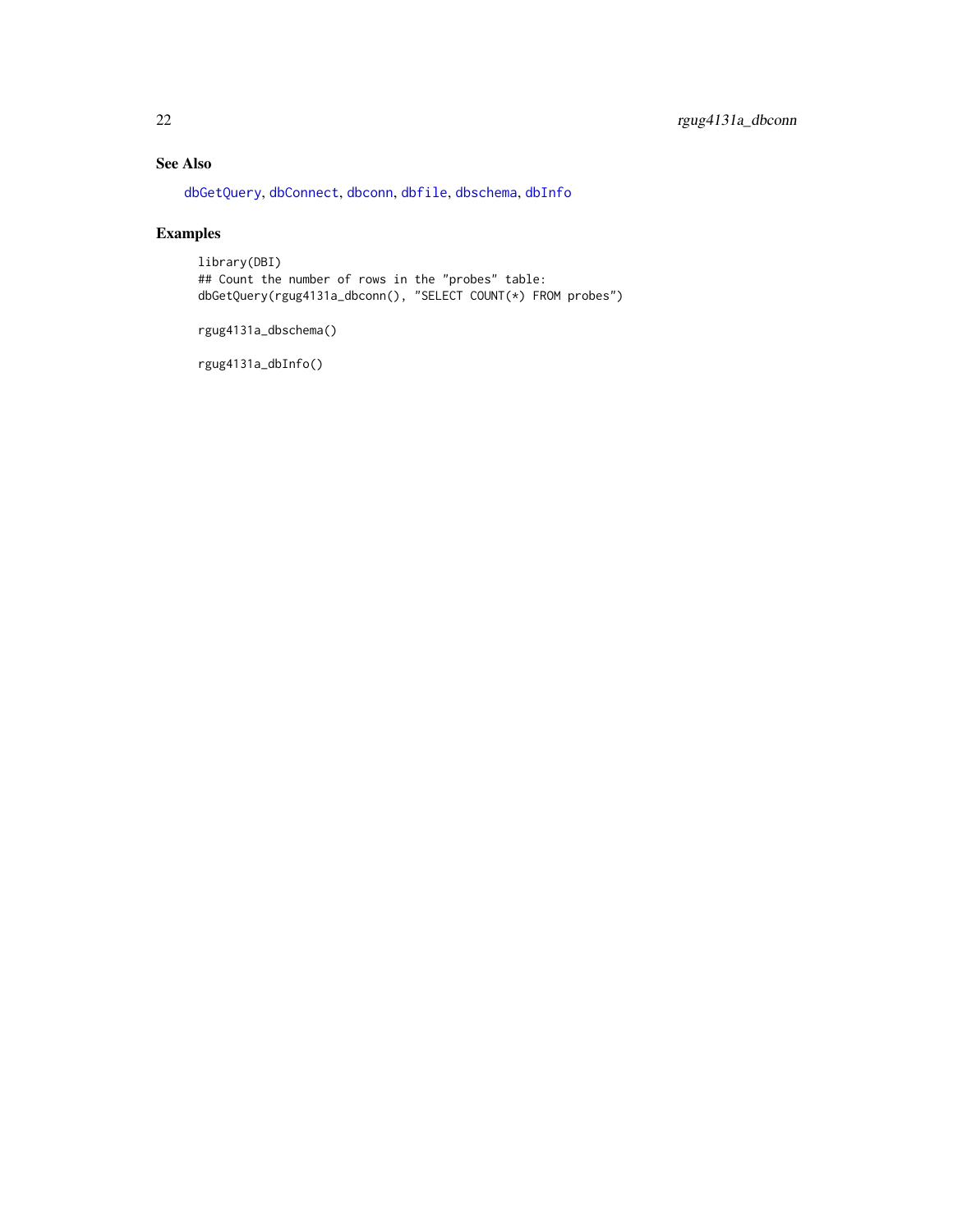## <span id="page-21-0"></span>See Also

[dbGetQuery](#page-0-0), [dbConnect](#page-0-0), [dbconn](#page-0-0), [dbfile](#page-0-0), [dbschema](#page-0-0), [dbInfo](#page-0-0)

## Examples

library(DBI) ## Count the number of rows in the "probes" table: dbGetQuery(rgug4131a\_dbconn(), "SELECT COUNT(\*) FROM probes")

rgug4131a\_dbschema()

rgug4131a\_dbInfo()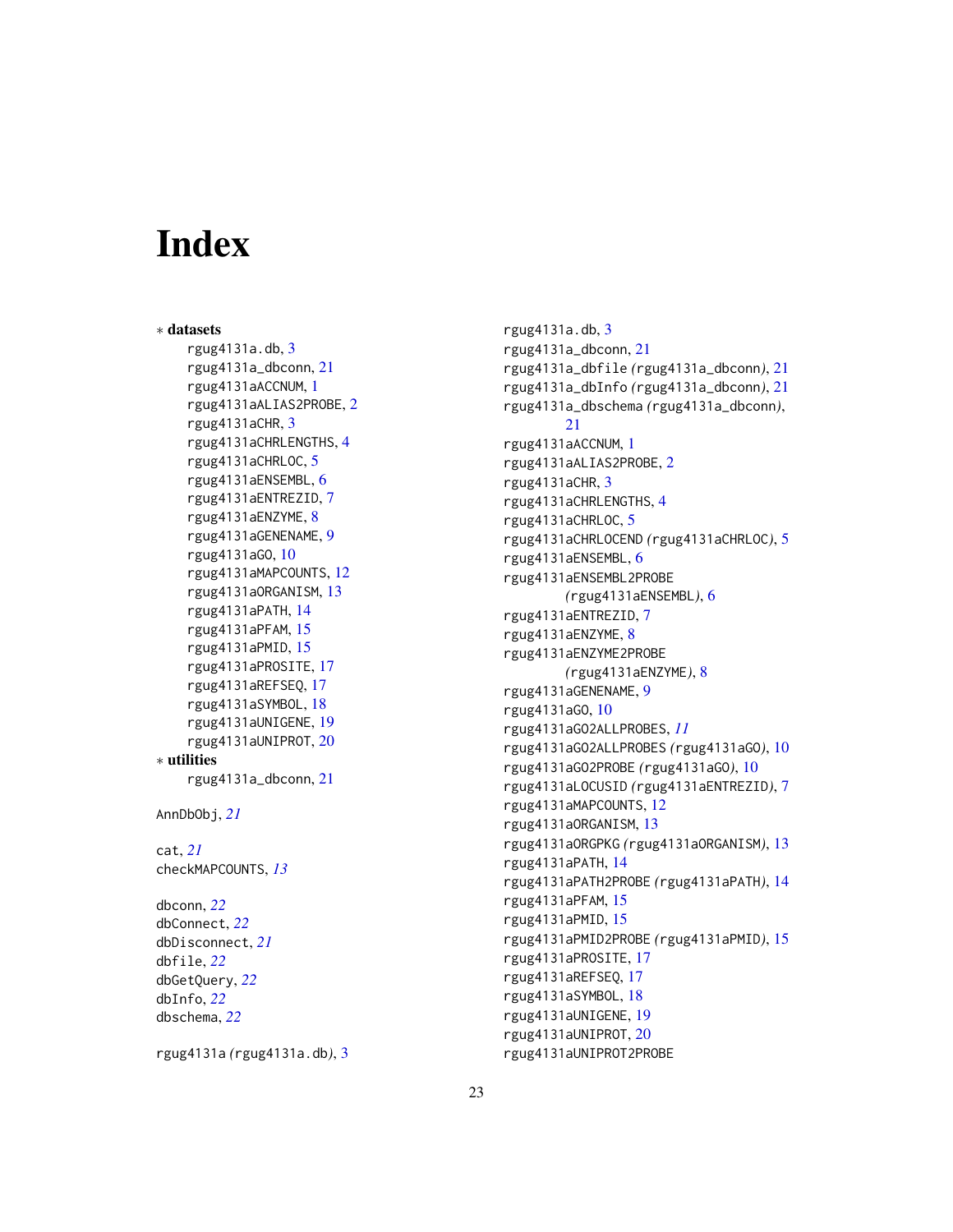# Index

∗ datasets rgug4131a.db , [3](#page-2-0) rgug4131a\_dbconn , [21](#page-20-0) rgug4131aACCNUM , [1](#page-0-1) rgug4131aALIAS2PROBE , [2](#page-1-0) rgug4131aCHR , [3](#page-2-0) rgug4131aCHRLENGTHS , [4](#page-3-0) rgug4131aCHRLOC , [5](#page-4-0) rgug4131aENSEMBL , [6](#page-5-0) rgug4131aENTREZID , [7](#page-6-0) rgug4131aENZYME , [8](#page-7-0) rgug4131aGENENAME , [9](#page-8-0) rgug4131aGO , [10](#page-9-1) rgug4131aMAPCOUNTS , [12](#page-11-0) rgug4131aORGANISM , [13](#page-12-0) rgug4131aPATH , [14](#page-13-0) rgug4131aPFAM , [15](#page-14-0) rgug4131aPMID , [15](#page-14-0) rgug4131aPROSITE , [17](#page-16-0) rgug4131aREFSEQ , [17](#page-16-0) rgug4131aSYMBOL , [18](#page-17-0) rgug4131aUNIGENE , [19](#page-18-0) rgug4131aUNIPROT , [20](#page-19-0) ∗ utilities rgug4131a\_dbconn , [21](#page-20-0) AnnDbObj , *[21](#page-20-0)* cat , *[21](#page-20-0)* checkMAPCOUNTS , *[13](#page-12-0)* dbconn , *[22](#page-21-0)* dbConnect , *[22](#page-21-0)* dbDisconnect , *[21](#page-20-0)* dbfile , *[22](#page-21-0)* dbGetQuery , *[22](#page-21-0)* dbInfo , *[22](#page-21-0)* dbschema , *[22](#page-21-0)*

rgug4131a *(*rgug4131a.db *)* , [3](#page-2-0)

rgug4131a.db , [3](#page-2-0) rgug4131a\_dbconn , [21](#page-20-0) rgug4131a\_dbfile *(*rgug4131a\_dbconn *)* , [21](#page-20-0) rgug4131a\_dbInfo *(*rgug4131a\_dbconn *)* , [21](#page-20-0) rgug4131a\_dbschema *(*rgug4131a\_dbconn *)* ,  $21$ rgug4131aACCNUM , [1](#page-0-1) rgug4131aALIAS2PROBE , [2](#page-1-0) rgug4131aCHR , [3](#page-2-0) rgug4131aCHRLENGTHS , [4](#page-3-0) rgug4131aCHRLOC , [5](#page-4-0) rgug4131aCHRLOCEND *(*rgug4131aCHRLOC *)* , [5](#page-4-0) rgug4131aENSEMBL , [6](#page-5-0) rgug4131aENSEMBL2PROBE *(*rgug4131aENSEMBL *)* , [6](#page-5-0) rgug4131aENTREZID , [7](#page-6-0) rgug4131aENZYME , [8](#page-7-0) rgug4131aENZYME2PROBE *(*rgug4131aENZYME *)* , [8](#page-7-0) rgug4131aGENENAME , [9](#page-8-0) rgug4131aGO , [10](#page-9-1) rgug4131aGO2ALLPROBES , *[11](#page-10-0)* rgug4131aGO2ALLPROBES *(*rgug4131aGO *)* , [10](#page-9-1) rgug4131aGO2PROBE *(*rgug4131aGO *)* , [10](#page-9-1) rgug4131aLOCUSID *(*rgug4131aENTREZID *)* , [7](#page-6-0) rgug4131aMAPCOUNTS , [12](#page-11-0) rgug4131aORGANISM , [13](#page-12-0) rgug4131aORGPKG *(*rgug4131aORGANISM *)* , [13](#page-12-0) rgug4131aPATH , [14](#page-13-0) rgug4131aPATH2PROBE *(*rgug4131aPATH *)* , [14](#page-13-0) rgug4131aPFAM , [15](#page-14-0) rgug4131aPMID , [15](#page-14-0) rgug4131aPMID2PROBE *(*rgug4131aPMID *)* , [15](#page-14-0) rgug4131aPROSITE , [17](#page-16-0) rgug4131aREFSEQ , [17](#page-16-0) rgug4131aSYMBOL , [18](#page-17-0) rgug4131aUNIGENE , [19](#page-18-0) rgug4131aUNIPROT , [20](#page-19-0) rgug4131aUNIPROT2PROBE